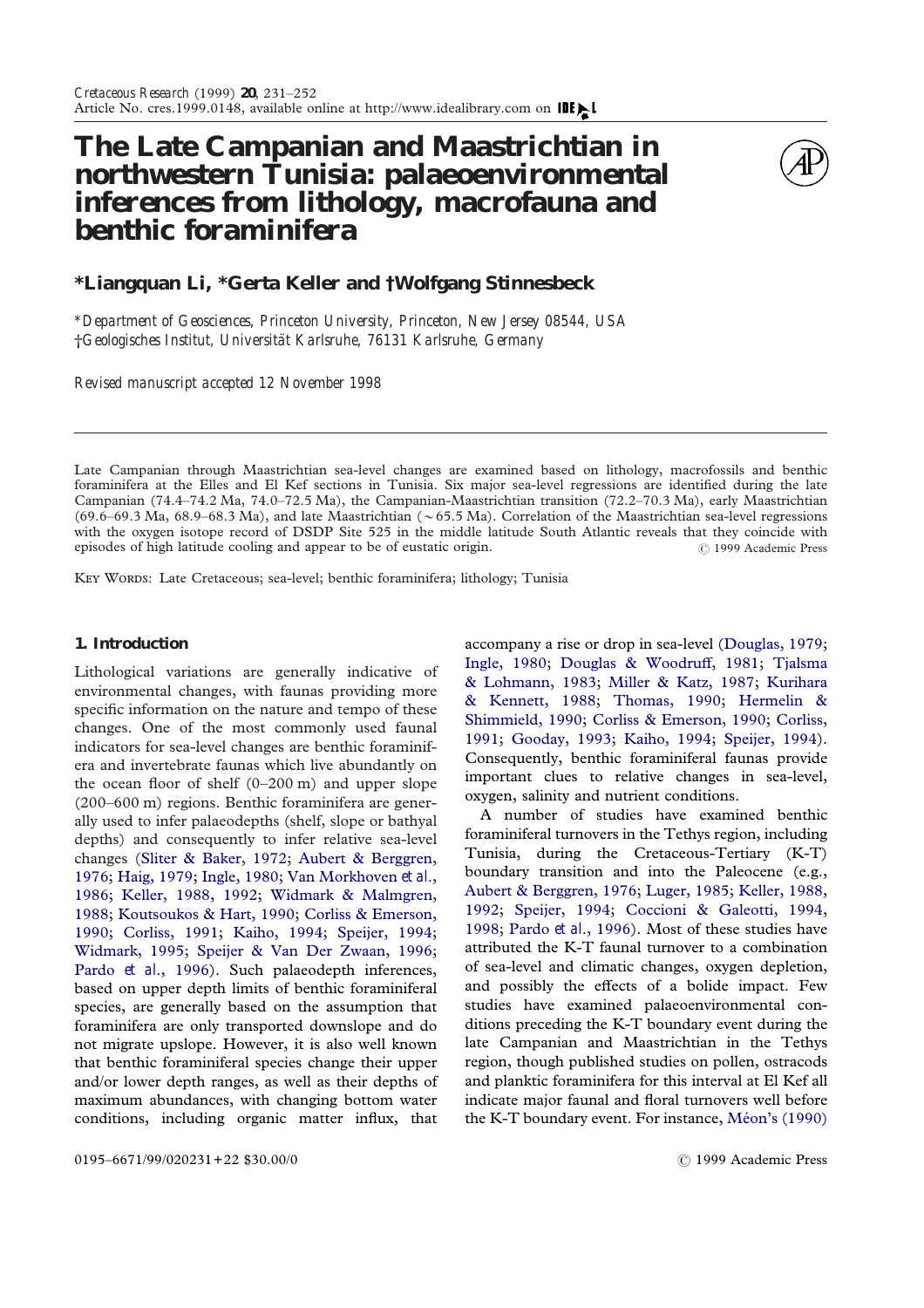# **The Late Campanian and Maastrichtian in northwestern Tunisia: palaeoenvironmental inferences from lithology, macrofauna and benthic foraminifera**



## **\*Liangquan Li, \*Gerta Keller and †Wolfgang Stinnesbeck**

*\*Department of Geosciences, Princeton University, Princeton, New Jersey 08544, USA* †*Geologisches Institut, Universita¨t Karlsruhe, 76131 Karlsruhe, Germany*

*Revised manuscript accepted 12 November 1998*

Late Campanian through Maastrichtian sea-level changes are examined based on lithology, macrofossils and benthic foraminifera at the Elles and El Kef sections in Tunisia. Six major sea-level regressions are identified during the late Campanian (74.4–74.2 Ma, 74.0–72.5 Ma), the Campanian-Maastrichtian transition (72.2–70.3 Ma), early Maastrichtian (69.6–69.3 Ma, 68.9–68.3 Ma), and late Maastrichtian ( $\sim$  65.5 Ma). Correlation of the Maastrichtian sea-level regressions with the oxygen isotope record of DSDP Site 525 in the middle latitude South Atlantic reveals that they coincide with episodes of high latitude cooling and appear to be of eustatic origin.  $\circ$  1999 Academic Press

KEY WORDS: Late Cretaceous; sea-level; benthic foraminifera; lithology; Tunisia

## **1. Introduction**

Lithological variations are generally indicative of environmental changes, with faunas providing more specific information on the nature and tempo of these changes. One of the most commonly used faunal indicators for sea-level changes are benthic foraminifera and invertebrate faunas which live abundantly on the ocean floor of shelf  $(0-200 \text{ m})$  and upper slope (200–600 m) regions. Benthic foraminifera are generally used to infer palaeodepths (shelf, slope or bathyal depths) and consequently to infer relative sea-level changes [\(Sliter & Baker, 1972;](#page-20-0) [Aubert & Berggren,](#page-19-0) [1976;](#page-19-0) [Haig, 1979;](#page-20-1) [Ingle, 1980;](#page-20-2) [Van Morkhoven](#page-21-0) *et al*., [1986;](#page-21-0) [Keller, 1988,](#page-20-3) [1992;](#page-20-4) [Widmark & Malmgren,](#page-21-1) [1988;](#page-21-1) [Koutsoukos & Hart, 1990;](#page-20-5) [Corliss & Emerson,](#page-20-6) [1990;](#page-20-6) [Corliss, 1991;](#page-19-1) [Kaiho, 1994;](#page-20-7) [Speijer, 1994;](#page-21-2) [Widmark, 1995;](#page-21-3) [Speijer & Van Der Zwaan, 1996;](#page-21-4) Pardo *et al*[., 1996\)](#page-20-8). Such palaeodepth inferences, based on upper depth limits of benthic foraminiferal species, are generally based on the assumption that foraminifera are only transported downslope and do not migrate upslope. However, it is also well known that benthic foraminiferal species change their upper and/or lower depth ranges, as well as their depths of maximum abundances, with changing bottom water conditions, including organic matter influx, that

accompany a rise or drop in sea-level [\(Douglas, 1979;](#page-20-9) [Ingle, 1980;](#page-20-2) [Douglas & Woodru](#page-20-10)ff, 1981; [Tjalsma](#page-21-5) [& Lohmann, 1983;](#page-21-5) [Miller & Katz, 1987;](#page-20-11) [Kurihara](#page-20-12) [& Kennett, 1988;](#page-20-12) [Thomas, 1990;](#page-21-6) [Hermelin &](#page-20-13) [Shimmield, 1990;](#page-20-13) [Corliss & Emerson, 1990;](#page-20-6) [Corliss,](#page-19-1) [1991;](#page-19-1) [Gooday, 1993;](#page-20-14) [Kaiho, 1994;](#page-20-7) [Speijer, 1994\)](#page-21-2). Consequently, benthic foraminiferal faunas provide important clues to relative changes in sea-level, oxygen, salinity and nutrient conditions.

A number of studies have examined benthic foraminiferal turnovers in the Tethys region, including Tunisia, during the Cretaceous-Tertiary (K-T) boundary transition and into the Paleocene (e.g., [Aubert & Berggren, 1976;](#page-19-0) [Luger, 1985;](#page-20-15) [Keller, 1988,](#page-20-3) [1992;](#page-20-4) [Speijer, 1994;](#page-21-2) [Coccioni & Galeotti, 1994,](#page-19-2) [1998;](#page-19-3) Pardo *et al*[., 1996\)](#page-20-8). Most of these studies have attributed the K-T faunal turnover to a combination of sea-level and climatic changes, oxygen depletion, and possibly the effects of a bolide impact. Few studies have examined palaeoenvironmental conditions preceding the K-T boundary event during the late Campanian and Maastrichtian in the Tethys region, though published studies on pollen, ostracods and planktic foraminifera for this interval at El Kef all indicate major faunal and floral turnovers well before the K-T boundary event. For instance, Méon's (1990)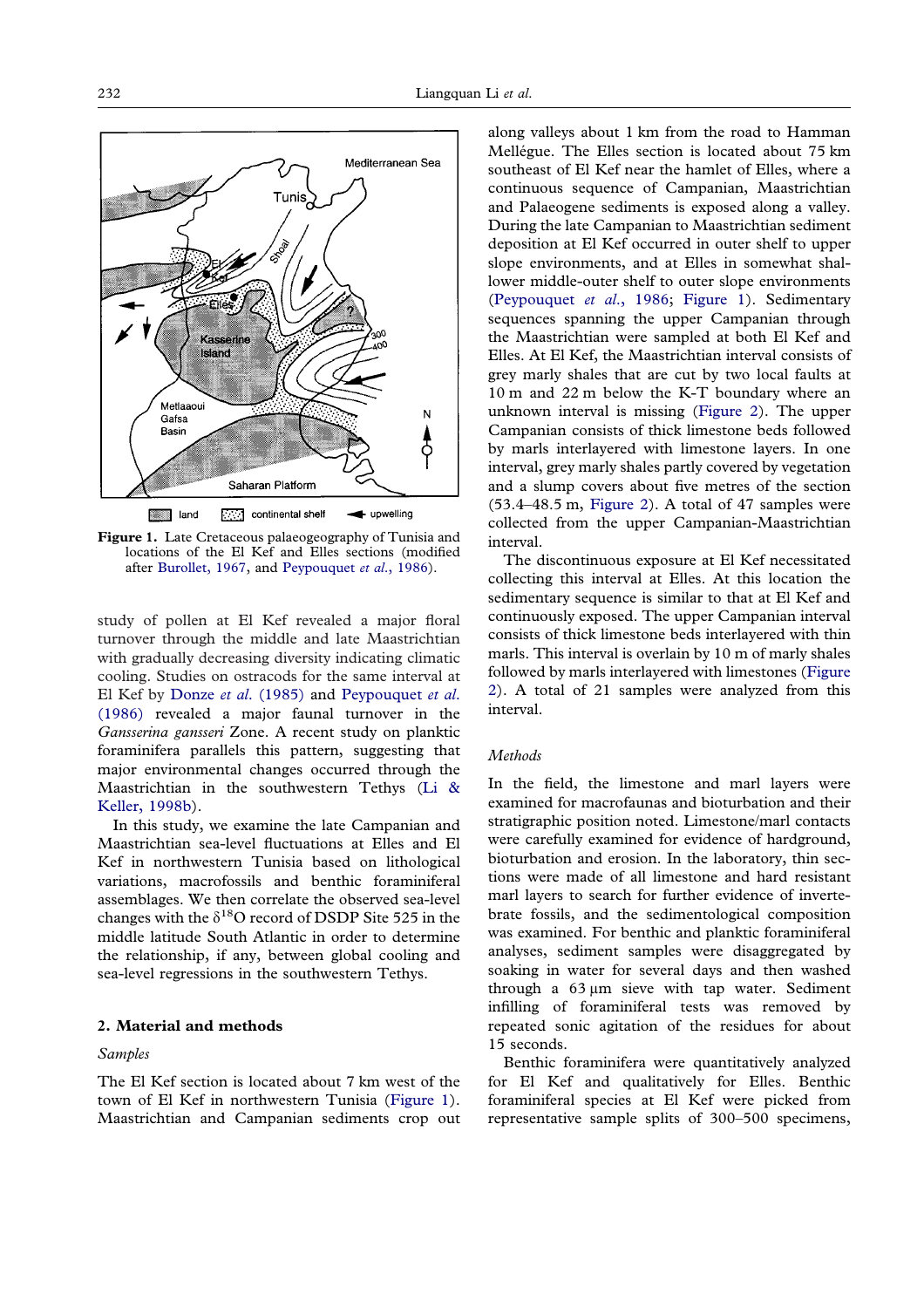<span id="page-1-0"></span>

**Figure 1.** Late Cretaceous palaeogeography of Tunisia and locations of the El Kef and Elles sections (modified after [Burollet, 1967,](#page-19-4) and [Peypouquet](#page-20-18) *[et al](#page-20-18)*[., 1986\)](#page-20-18).

study of pollen at El Kef revealed a major floral turnover through the middle and late Maastrichtian with gradually decreasing diversity indicating climatic cooling. Studies on ostracods for the same interval at El Kef by Donze *et al*[. \(1985\)](#page-20-17) and [Peypouquet](#page-20-18) *et al*. [\(1986\)](#page-20-18) revealed a major faunal turnover in the *Gansserina gansseri* Zone. A recent study on planktic foraminifera parallels this pattern, suggesting that major environmental changes occurred through the Maastrichtian in the southwestern Tethys [\(Li &](#page-20-19) [Keller, 1998b\)](#page-20-19).

In this study, we examine the late Campanian and Maastrichtian sea-level fluctuations at Elles and El Kef in northwestern Tunisia based on lithological variations, macrofossils and benthic foraminiferal assemblages. We then correlate the observed sea-level changes with the  $\delta^{18}$ O record of DSDP Site 525 in the middle latitude South Atlantic in order to determine the relationship, if any, between global cooling and sea-level regressions in the southwestern Tethys.

#### **2. Material and methods**

#### *Samples*

The El Kef section is located about 7 km west of the town of El Kef in northwestern Tunisia [\(Figure 1\)](#page-1-0). Maastrichtian and Campanian sediments crop out

along valleys about 1 km from the road to Hamman Mellégue. The Elles section is located about 75 km southeast of El Kef near the hamlet of Elles, where a continuous sequence of Campanian, Maastrichtian and Palaeogene sediments is exposed along a valley. During the late Campanian to Maastrichtian sediment deposition at El Kef occurred in outer shelf to upper slope environments, and at Elles in somewhat shallower middle-outer shelf to outer slope environments [\(Peypouquet](#page-20-18) *et al*., 1986; [Figure 1\)](#page-1-0). Sedimentary sequences spanning the upper Campanian through the Maastrichtian were sampled at both El Kef and Elles. At El Kef, the Maastrichtian interval consists of grey marly shales that are cut by two local faults at 10 m and 22 m below the K-T boundary where an unknown interval is missing [\(Figure 2\)](#page-2-0). The upper Campanian consists of thick limestone beds followed by marls interlayered with limestone layers. In one interval, grey marly shales partly covered by vegetation and a slump covers about five metres of the section (53.4–48.5 m, [Figure 2\)](#page-2-0). A total of 47 samples were collected from the upper Campanian-Maastrichtian interval.

The discontinuous exposure at El Kef necessitated collecting this interval at Elles. At this location the sedimentary sequence is similar to that at El Kef and continuously exposed. The upper Campanian interval consists of thick limestone beds interlayered with thin marls. This interval is overlain by 10 m of marly shales followed by marls interlayered with limestones [\(Figure](#page-2-0) [2\)](#page-2-0). A total of 21 samples were analyzed from this interval.

### *Methods*

In the field, the limestone and marl layers were examined for macrofaunas and bioturbation and their stratigraphic position noted. Limestone/marl contacts were carefully examined for evidence of hardground, bioturbation and erosion. In the laboratory, thin sections were made of all limestone and hard resistant marl layers to search for further evidence of invertebrate fossils, and the sedimentological composition was examined. For benthic and planktic foraminiferal analyses, sediment samples were disaggregated by soaking in water for several days and then washed through a  $63 \mu m$  sieve with tap water. Sediment infilling of foraminiferal tests was removed by repeated sonic agitation of the residues for about 15 seconds.

Benthic foraminifera were quantitatively analyzed for El Kef and qualitatively for Elles. Benthic foraminiferal species at El Kef were picked from representative sample splits of 300–500 specimens,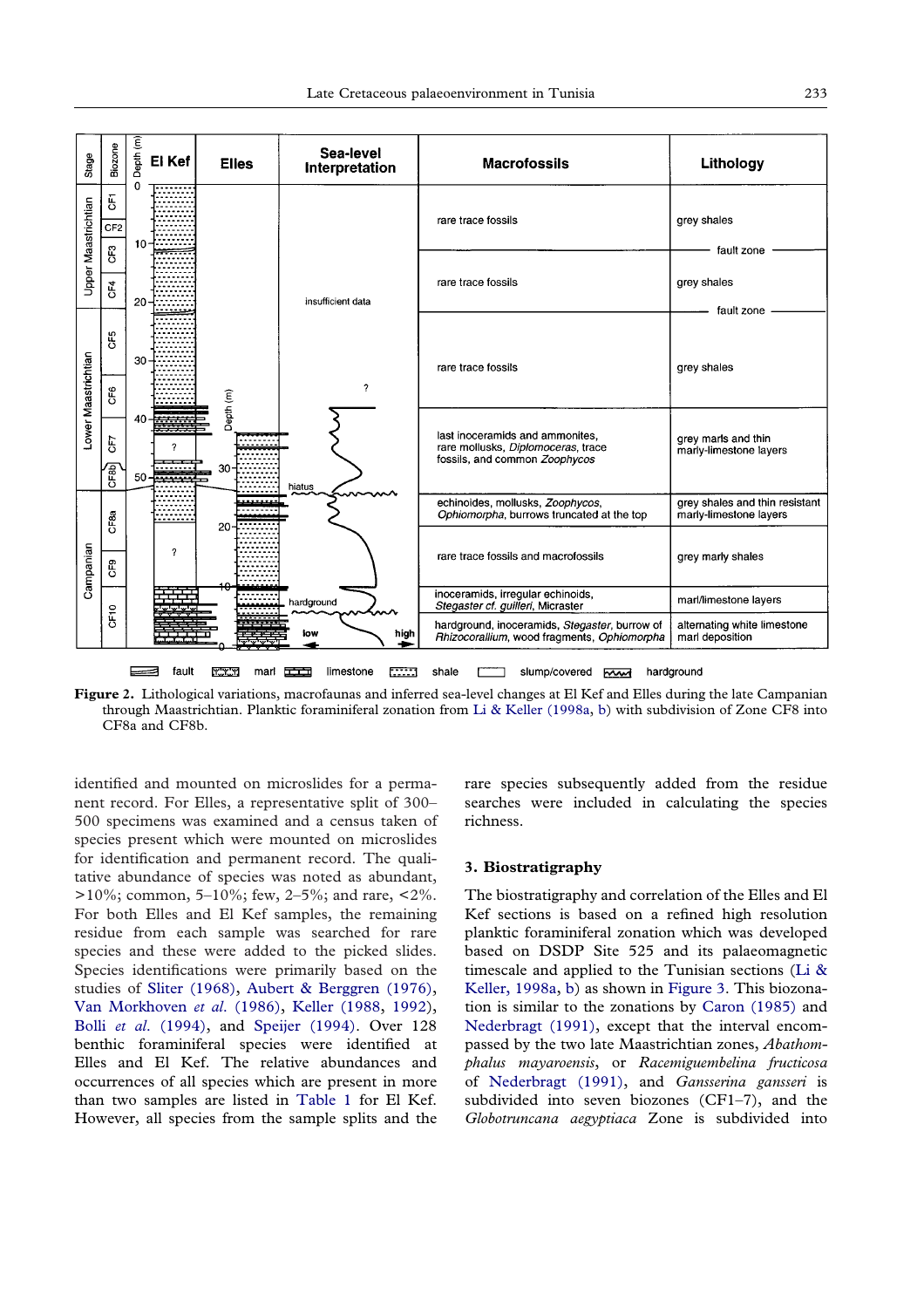<span id="page-2-0"></span>

**Figure 2.** Lithological variations, macrofaunas and inferred sea-level changes at El Kef and Elles during the late Campanian through Maastrichtian. Planktic foraminiferal zonation from [Li & Keller \(1998a,](#page-20-21) [b\)](#page-20-19) with subdivision of Zone CF8 into CF8a and CF8b.

identified and mounted on microslides for a permanent record. For Elles, a representative split of 300– 500 specimens was examined and a census taken of species present which were mounted on microslides for identification and permanent record. The qualitative abundance of species was noted as abundant, >10%; common, 5–10%; few, 2–5%; and rare, <2%. For both Elles and El Kef samples, the remaining residue from each sample was searched for rare species and these were added to the picked slides. Species identifications were primarily based on the studies of [Sliter \(1968\),](#page-20-20) [Aubert & Berggren \(1976\),](#page-19-0) [Van Morkhoven](#page-21-0) *et al*. (1986), [Keller \(1988,](#page-20-3) [1992\)](#page-20-4), Bolli *et al*[. \(1994\),](#page-19-5) and [Speijer \(1994\).](#page-21-2) Over 128 benthic foraminiferal species were identified at Elles and El Kef. The relative abundances and occurrences of all species which are present in more than two samples are listed in [Table 1](#page-3-0) for El Kef. However, all species from the sample splits and the

rare species subsequently added from the residue searches were included in calculating the species richness.

#### **3. Biostratigraphy**

The biostratigraphy and correlation of the Elles and El Kef sections is based on a refined high resolution planktic foraminiferal zonation which was developed based on DSDP Site 525 and its palaeomagnetic timescale and applied to the Tunisian sections [\(Li &](#page-20-21) [Keller, 1998a,](#page-20-21) [b\)](#page-20-19) as shown in [Figure 3.](#page-7-0) This biozonation is similar to the zonations by [Caron \(1985\)](#page-19-6) and [Nederbragt \(1991\),](#page-20-22) except that the interval encompassed by the two late Maastrichtian zones, *Abathomphalus mayaroensis*, or *Racemiguembelina fructicosa* of [Nederbragt \(1991\),](#page-20-22) and *Gansserina gansseri* is subdivided into seven biozones (CF1–7), and the *Globotruncana aegyptiaca* Zone is subdivided into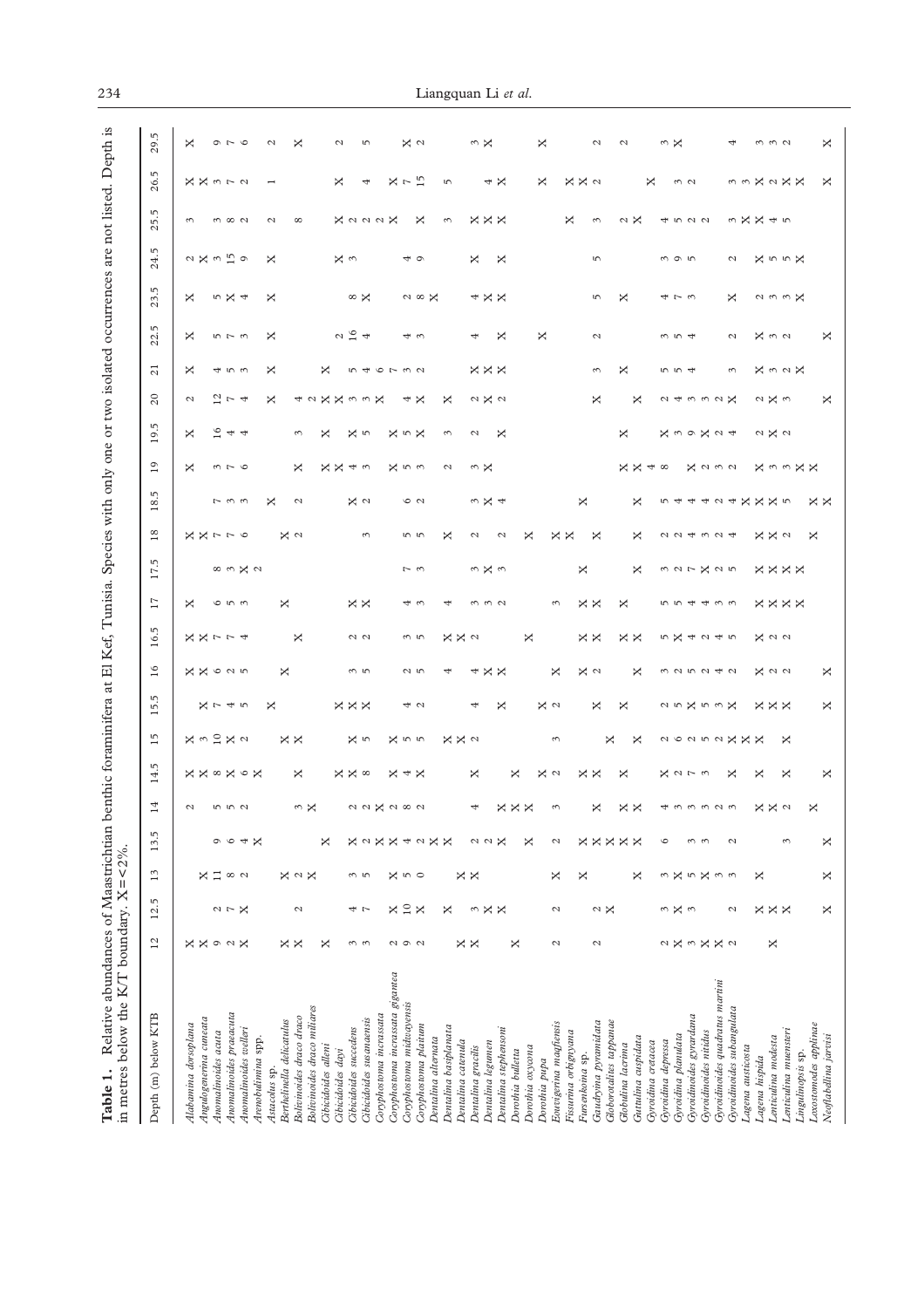<span id="page-3-0"></span>

| Relative abundances of Maastrichtian b<br>in metres below the K/T boundary. $X = \langle 2\% \rangle$ .<br>Table 1. |                       |                      |                          |                   |                      |                        |                  |                                   |                 |                      |                   |                      |                   |                      |                          |                        |                        |                        |                               | enthic foraminifera at El Kef, Tunisia. Species with only one or two isolated occurrences are not listed. Depth is |             |                       |                   |                            |
|---------------------------------------------------------------------------------------------------------------------|-----------------------|----------------------|--------------------------|-------------------|----------------------|------------------------|------------------|-----------------------------------|-----------------|----------------------|-------------------|----------------------|-------------------|----------------------|--------------------------|------------------------|------------------------|------------------------|-------------------------------|--------------------------------------------------------------------------------------------------------------------|-------------|-----------------------|-------------------|----------------------------|
| Depth (m) below KTB                                                                                                 | $^{12}$               | S<br>$\overline{5}$  | $\frac{3}{2}$            | m<br>13.          | 14                   | ιņ<br>14.              | $\frac{5}{1}$    | $\mathfrak{m}$<br>$\overline{10}$ | 16              | 5<br>$\overline{16}$ | 17                | m<br>$\overline{17}$ | $^{18}$           | 5<br>$\frac{8}{18}$  | $^{0}$                   | ιņ<br>$^{0}1$          | $20$                   | $\overline{c}$         | 5<br>22.                      | 5<br>23                                                                                                            | 5<br>24.    | 5<br>25               | ιņ<br>26.         | 5<br>$^{29}$               |
| Alabamina dorsoplana                                                                                                | $\times$ $\times$     |                      |                          |                   | $\mathcal{L}$        |                        |                  |                                   |                 |                      | ×                 |                      |                   |                      | ×                        | ×                      | $\mathcal{L}$          | ×                      | ×                             | ×                                                                                                                  |             | $\sim$                |                   | ×                          |
| Angulogenerina cuneata                                                                                              |                       |                      | ×                        |                   |                      | <b>××∞×∞×</b>          | <b>X m 2 X a</b> | ス745                              | <b>X X 625</b>  | スス774                |                   |                      | メメァァ の            |                      |                          |                        |                        |                        |                               |                                                                                                                    | 2 X 3 5 9   |                       | 又又372             |                            |
| Anomalinoides acuta                                                                                                 |                       |                      | $\Xi$                    | $\circ$           |                      |                        |                  |                                   |                 |                      |                   |                      |                   |                      |                          | $\frac{6}{1}$          |                        |                        |                               |                                                                                                                    |             |                       |                   |                            |
| Anomalinoides praeacuta                                                                                             | $O$ $\alpha$ $\times$ | $\alpha \sim \aleph$ | $\infty$ $\sim$          |                   | 5 5 5 7              |                        |                  |                                   |                 |                      | 653               |                      |                   | $\sim \omega \omega$ | $m - 6$                  | 44                     | $\frac{2}{7}$ $\sim$ 4 | すうろ                    | $5 - 5$                       | n X 4                                                                                                              |             | $m \, \infty \, \sim$ |                   | $\circ$ $\sim$ $\circ$     |
| Anomalinoides welleri                                                                                               |                       |                      |                          | 4                 |                      |                        |                  |                                   |                 |                      |                   | 89.727               |                   |                      |                          |                        |                        |                        |                               |                                                                                                                    |             |                       |                   |                            |
| Arenobulimina spp.<br>Astacolus sp.                                                                                 |                       |                      |                          | $\times$          |                      |                        |                  | ×                                 |                 |                      |                   |                      |                   | ×                    |                          |                        | ×                      | ×                      | ×                             | ×                                                                                                                  | ×           | $\mathcal{L}$         |                   | $\mathcal{L}$              |
| Berthelinella delicatulus                                                                                           |                       |                      |                          |                   |                      |                        |                  |                                   | ×               |                      | ×                 |                      |                   |                      |                          |                        |                        |                        |                               |                                                                                                                    |             |                       |                   |                            |
| Bolivinoides draco draco                                                                                            | ××                    | $\mathcal{L}$        | $\times$ $\sim$ $\times$ |                   |                      | ×                      | $\times \times$  |                                   |                 | ×                    |                   |                      | X ⊲               | $\mathcal{L}$        | ×                        | 3                      |                        |                        |                               |                                                                                                                    |             | ${}^{\circ}$          |                   | ×                          |
| Bolivinoides draco miliares                                                                                         |                       |                      |                          |                   | $\omega \times$      |                        |                  |                                   |                 |                      |                   |                      |                   |                      |                          |                        |                        |                        |                               |                                                                                                                    |             |                       |                   |                            |
| Cibicidoides alleni                                                                                                 | ×                     |                      |                          | ×                 |                      |                        |                  |                                   |                 |                      |                   |                      |                   |                      |                          | ×                      | 42XX                   | ×                      |                               |                                                                                                                    |             |                       |                   |                            |
| Cibicidoides dayi                                                                                                   |                       |                      |                          |                   |                      |                        |                  |                                   |                 |                      |                   |                      |                   |                      |                          |                        |                        |                        |                               |                                                                                                                    | χ<br>3      |                       | ×                 | $\mathcal{L}$              |
| Cibicidoides succedens                                                                                              | ω ω                   | 4 L                  | m 5                      | ×                 |                      | $\times \times \infty$ | X in             | $\times \times \times$            | $\omega$ ru     | $\sim$ $\sim$        | $\times \times$   |                      |                   | x <sub>a</sub>       | 又又43                     | x <sub>p</sub>         |                        |                        | $\alpha$ $\frac{\sigma}{4}$ 4 | $\infty$ $\times$                                                                                                  |             |                       |                   |                            |
| Cibicidoides susanaensis                                                                                            |                       |                      |                          | $\sim$            |                      |                        |                  |                                   |                 |                      |                   |                      | $\epsilon$        |                      |                          |                        | $\omega \omega \times$ | 546732                 |                               |                                                                                                                    |             | X a a a X             | 4                 | S                          |
| Coryphostoma incrassata                                                                                             |                       |                      |                          | ×                 |                      |                        |                  |                                   |                 |                      |                   |                      |                   |                      |                          |                        |                        |                        |                               |                                                                                                                    |             |                       |                   |                            |
| Coryphostoma incrassata gigantea                                                                                    |                       | ×                    |                          | ×                 |                      |                        |                  |                                   |                 |                      |                   |                      |                   |                      |                          |                        |                        |                        |                               |                                                                                                                    |             |                       |                   |                            |
| Coryphostoma midwayensis                                                                                            | QQQ                   | $10$                 | $\times$ 10 $\circ$      | 4                 |                      | $\times$ 4 $\times$    | X n n            | 4 U                               | $\sim$ 50       | w ru                 | 43                | $\sim$ $\sim$        | n w               | $\circ$ $\circ$      | X n n                    | $\times$ 10 $\times$   | 4                      |                        | 43                            |                                                                                                                    | 40          |                       | $X \sim 15$       | $\times$ $\sim$            |
| Coryphostoma plaitum                                                                                                |                       | ×                    |                          | $\mathcal{L}$     |                      |                        |                  |                                   |                 |                      |                   |                      |                   |                      |                          |                        | ×                      |                        |                               | $\sim \infty$ X                                                                                                    |             | ×                     |                   |                            |
| Dentalina alternata                                                                                                 |                       |                      |                          | ×                 |                      |                        |                  |                                   |                 |                      |                   |                      |                   |                      |                          |                        |                        |                        |                               |                                                                                                                    |             |                       |                   |                            |
| Dentalina basiplanata                                                                                               |                       | ×                    |                          | ×                 |                      |                        | $X \times d$     |                                   | 4               | $X \times d$         | 4                 |                      | ×                 |                      | $\mathcal{L}$            | 3                      | ×                      |                        |                               |                                                                                                                    |             | 3                     | $\overline{5}$    |                            |
| Dentalina catenula                                                                                                  | ××                    |                      | $\times \times$          |                   |                      |                        |                  |                                   |                 |                      |                   |                      |                   |                      |                          |                        |                        |                        |                               |                                                                                                                    |             |                       |                   |                            |
| Dentalina gracilis                                                                                                  |                       | 3                    |                          | $\sim$ $\sim$     | 4                    | ×                      |                  | 4                                 | 4               |                      | 3                 | n X w                | $\mathcal{L}$     | $\omega \times 4$    | ωX                       | Z                      | 0 X 0                  | $\times \times \times$ | 4                             | 4 X X                                                                                                              | ×           | $\times\times\times$  |                   | w X                        |
| Dentalina legumen                                                                                                   |                       | ×                    |                          |                   |                      |                        |                  |                                   | $\times \times$ |                      | $\omega$ $\omega$ |                      |                   |                      |                          |                        |                        |                        |                               |                                                                                                                    |             |                       | $4 \times$        |                            |
| Dentalina stephensoni                                                                                               |                       | ×                    |                          | ×                 |                      |                        |                  | ×                                 |                 |                      |                   |                      | $\mathcal{L}$     |                      |                          | ×                      |                        |                        | ×                             |                                                                                                                    | ×           |                       |                   |                            |
| Dorothia bulletta                                                                                                   | ×                     |                      |                          |                   | $\times\times\times$ | ×                      |                  |                                   |                 | ×                    |                   |                      |                   |                      |                          |                        |                        |                        |                               |                                                                                                                    |             |                       |                   |                            |
| Dorothia oxycona                                                                                                    |                       |                      |                          | ×                 |                      |                        |                  |                                   |                 |                      |                   |                      | ×                 |                      |                          |                        |                        |                        |                               |                                                                                                                    |             |                       |                   |                            |
| Dorothia pupa                                                                                                       |                       |                      |                          |                   |                      | X ⊲                    |                  | X ⊲                               |                 |                      |                   |                      |                   |                      |                          |                        |                        |                        | ×                             |                                                                                                                    |             |                       | ×                 | ×                          |
| Eouvigerina magfiensis                                                                                              | $\mathcal{L}$         | $\mathcal{L}$        | ×                        | $\mathcal{L}$     | $\omega$             |                        | $\epsilon$       |                                   | ×               |                      | $\epsilon$        |                      | $\times \times$   |                      |                          |                        |                        |                        |                               |                                                                                                                    |             |                       |                   |                            |
| Fissurina orbignyana                                                                                                |                       |                      |                          |                   |                      |                        |                  |                                   |                 |                      |                   |                      |                   |                      |                          |                        |                        |                        |                               |                                                                                                                    |             | ×                     | X X a             |                            |
| Fursenkoina sp.                                                                                                     |                       |                      | ×                        | ×                 |                      | $\times \times$        |                  |                                   | $\times$ $\sim$ | $\times \times$      | $\times \times$   | ×                    |                   | ×                    |                          |                        |                        |                        |                               |                                                                                                                    |             |                       |                   |                            |
| Gaudryina pyramidata                                                                                                | $\mathcal{L}$         | $\sim$ $\times$      |                          | $\times$          | ×                    |                        |                  | ×                                 |                 |                      |                   |                      | ×                 |                      |                          |                        | ×                      | 3                      | $\mathcal{L}_{\mathcal{A}}$   | $\sqrt{2}$                                                                                                         | S           | 3                     |                   | $\mathcal{L}$              |
| Globorotalites tappanae                                                                                             |                       |                      |                          | ×                 |                      | ×                      | ×                | ×                                 |                 |                      | ×                 |                      |                   |                      |                          | ×                      |                        | ×                      |                               | ×                                                                                                                  |             |                       |                   | $\mathcal{L}$              |
| Guttulina cuspidata<br>Globulina lacrima                                                                            |                       |                      | ×                        | $\times \times$   | $\times \times$      |                        | ×                |                                   | ×               | $\times \times$      |                   | ×                    | ×                 | ×                    | $\times \times$          |                        | ×                      |                        |                               |                                                                                                                    |             | $\sim$ $\times$       |                   |                            |
| Gyroidina cretacea                                                                                                  |                       |                      |                          |                   |                      |                        |                  |                                   |                 |                      |                   |                      |                   |                      | $\overline{\mathcal{A}}$ |                        |                        |                        |                               |                                                                                                                    |             |                       | ×                 |                            |
| Gyroidina depressa                                                                                                  |                       |                      |                          | $\circ$           |                      |                        |                  |                                   |                 |                      |                   |                      |                   |                      | $\infty$                 |                        |                        |                        |                               |                                                                                                                    |             |                       |                   |                            |
| Gyroidina planulata                                                                                                 |                       | n X n                | $\sim$ $\times$          |                   |                      |                        |                  |                                   |                 |                      |                   |                      |                   |                      |                          |                        |                        | 5 5 4                  | $\omega$ ro 4                 | せてる                                                                                                                | $m \circ m$ |                       |                   | $\omega \times$            |
| Gyroidinoides gyrardana                                                                                             |                       |                      |                          |                   |                      |                        |                  |                                   |                 |                      |                   |                      |                   |                      |                          |                        |                        |                        |                               |                                                                                                                    |             |                       | $\omega$ $\omega$ |                            |
| Gyroidinoides nitidus                                                                                               | 2X3XX2                |                      | らX m m                   | $\omega$ $\omega$ | 433323               | スコアコ                   |                  | 25X53X                            | n n n n 4 n     | 5X4245               | 554433            | 327X25               | 224324            |                      | <b>X</b> a w a           | 又39X24                 | 24 m m m X             |                        |                               |                                                                                                                    |             | 4522                  |                   |                            |
| Gyroidinoides quadratus martini                                                                                     |                       |                      |                          |                   |                      |                        |                  |                                   |                 |                      |                   |                      |                   |                      |                          |                        |                        |                        |                               |                                                                                                                    |             |                       |                   |                            |
| Gyroidinoides subangulata                                                                                           |                       | $\mathcal{L}$        |                          | $\mathcal{L}$     |                      | ×                      |                  |                                   |                 |                      |                   |                      |                   |                      |                          |                        |                        | $\epsilon$             | $\mathcal{L}$                 | ×                                                                                                                  | Z           |                       |                   |                            |
| Lagena austicosta                                                                                                   |                       |                      |                          |                   |                      |                        | 2 X X X X X X    |                                   |                 |                      |                   |                      |                   | 544424XXX5           |                          |                        |                        |                        |                               |                                                                                                                    |             | 3XX45                 |                   |                            |
| Lagena hispida                                                                                                      |                       |                      | ×                        |                   |                      | ×                      |                  |                                   |                 |                      |                   |                      |                   |                      |                          |                        |                        |                        |                               |                                                                                                                    |             |                       |                   |                            |
| Lenticulina modesta                                                                                                 | ×                     |                      |                          |                   |                      |                        |                  |                                   |                 |                      |                   |                      |                   |                      |                          |                        |                        |                        |                               |                                                                                                                    |             |                       |                   |                            |
| Lenticulina muensteri                                                                                               |                       | $\times\times\times$ |                          | 3                 | $X \times \omega$    | ×                      | ×                | $\times \times \times$            | $\times$ 0 0    | $\times$ 0 0         | <b>xxxx</b>       | <b>xxxx</b>          | $X \times \omega$ |                      | 又33又                     | $\alpha \times \alpha$ | 2 X W                  | <b>×32×</b>            | $\times$ 40 $\sigma$          | $\alpha$ $\omega$ $\omega$ $\times$                                                                                | XnnX        |                       | 33X2XX            | $\omega$ $\omega$ $\omega$ |
| Lingulinopsis sp.                                                                                                   |                       |                      |                          |                   |                      |                        |                  |                                   |                 |                      |                   |                      |                   |                      |                          |                        |                        |                        |                               |                                                                                                                    |             |                       |                   |                            |
| Loxostomodes applinae                                                                                               |                       |                      |                          |                   | ×                    |                        |                  |                                   |                 |                      |                   |                      | ×                 | ××                   |                          |                        |                        |                        |                               |                                                                                                                    |             |                       |                   |                            |
| Neoflabellina jarvisi                                                                                               |                       | ×                    | ×                        | ×                 |                      | X                      |                  | ×                                 | ×               |                      |                   |                      |                   |                      |                          |                        | ×                      |                        | ×                             |                                                                                                                    |             |                       | ×                 | ×                          |
|                                                                                                                     |                       |                      |                          |                   |                      |                        |                  |                                   |                 |                      |                   |                      |                   |                      |                          |                        |                        |                        |                               |                                                                                                                    |             |                       |                   |                            |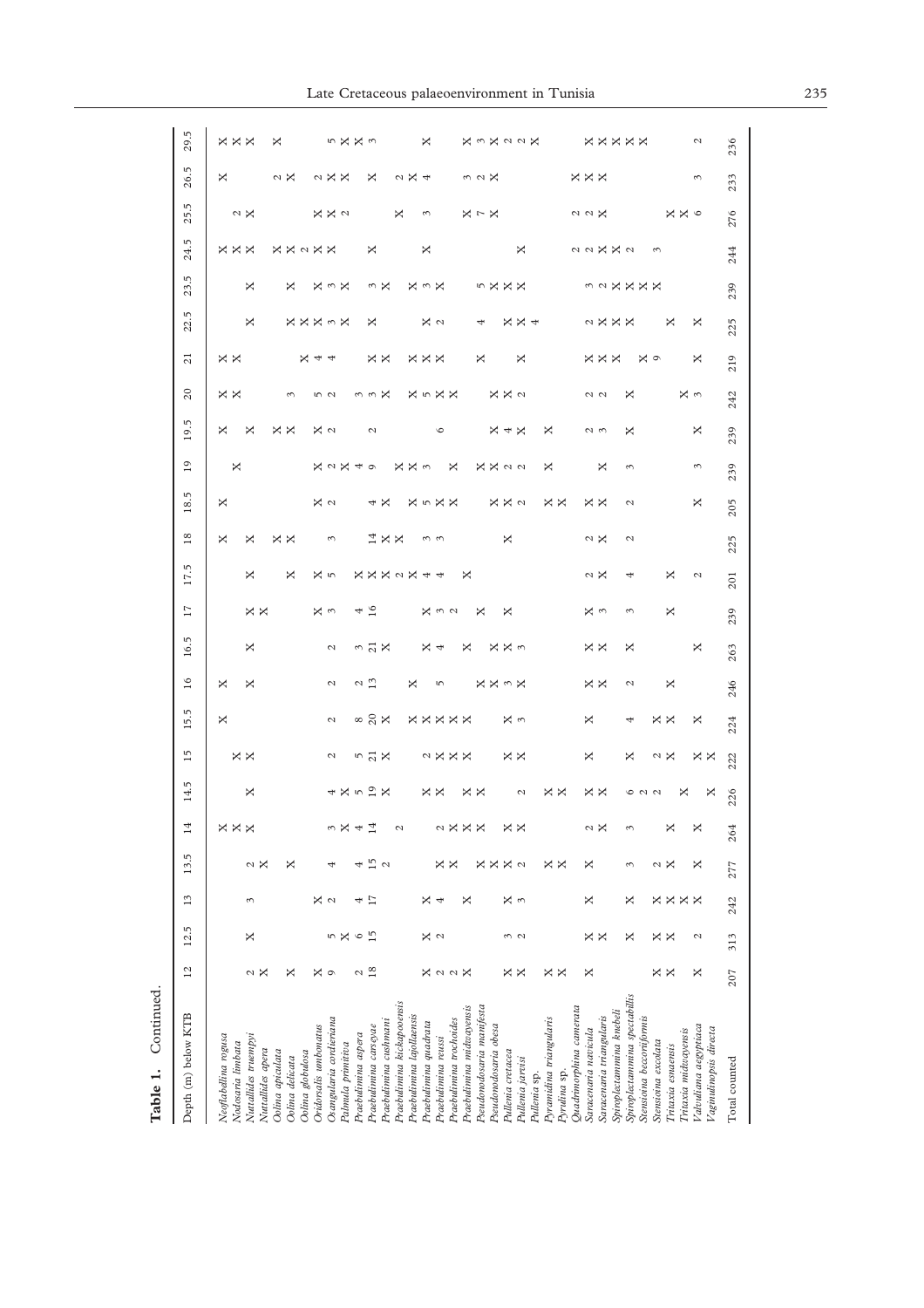| 29.5<br>26.5        | $\times\times\times$<br>×                 |                                           | ×                | $\sim$ $\times$     |                  |                       | $\sim$ X X               | 5 X X 3              |                     | ×                                         |                                     |                            | $\alpha \times 4$         | ×                     |                         |                         |                          | $\omega \circ \mathsf{X}$ |                       |                   | <b>X m X a a X</b> |              |                         |              |                            | $\times\times\times$       | <b>xxxxx</b>             |                          |                               |                         |                     |                    |                      | $\mathcal{L}$<br>$\epsilon$                     | 236<br>233 |
|---------------------|-------------------------------------------|-------------------------------------------|------------------|---------------------|------------------|-----------------------|--------------------------|----------------------|---------------------|-------------------------------------------|-------------------------------------|----------------------------|---------------------------|-----------------------|-------------------------|-------------------------|--------------------------|---------------------------|-----------------------|-------------------|--------------------|--------------|-------------------------|--------------|----------------------------|----------------------------|--------------------------|--------------------------|-------------------------------|-------------------------|---------------------|--------------------|----------------------|-------------------------------------------------|------------|
| 25.5                |                                           | $\sim$ $\times$                           |                  |                     |                  |                       | X X a                    |                      |                     |                                           |                                     | ×                          |                           | 3                     |                         |                         |                          | $\times$ $\sim$ $\times$  |                       |                   |                    |              |                         |              |                            | $\alpha$ $\alpha$ $\times$ |                          |                          |                               |                         |                     |                    | x x o                |                                                 |            |
| 24.5                | $\times \times \times$                    |                                           |                  | <b>X X &lt; X X</b> |                  |                       |                          |                      |                     | ×                                         |                                     |                            |                           | ×                     |                         |                         |                          |                           |                       |                   | ×                  |              |                         |              |                            |                            | 22X2                     |                          |                               |                         | $\sim$              |                    |                      |                                                 |            |
| 23.5                |                                           | ×                                         |                  | ×                   |                  |                       | <b>X こ X</b>             |                      |                     | $\frac{3}{2}$                             |                                     |                            |                           | <b>X こ X</b>          |                         |                         |                          |                           | n X                   | $\times \times$   |                    |              |                         |              |                            |                            |                          |                          |                               | 32XXXX                  |                     |                    |                      |                                                 |            |
| 22.5                |                                           | X                                         |                  |                     |                  |                       | <b>XXX3X</b>             |                      |                     | ×                                         |                                     |                            |                           |                       | x <sub>a</sub>          |                         |                          | 4                         |                       |                   | $\times \times 4$  |              |                         |              |                            |                            | a ¤ ¤ ¤                  |                          |                               |                         |                     | ×                  |                      | ×                                               |            |
| $\overline{c}$      | $\times$ $\times$                         |                                           |                  |                     |                  | $X + 4$               |                          |                      |                     | $\times \times$                           |                                     |                            |                           | <b>XXX</b>            |                         |                         |                          | X                         |                       |                   | ×                  |              |                         |              |                            |                            | $\times\times\times$     |                          |                               | ×ο                      |                     |                    |                      | ×                                               |            |
| $\overline{c}$      | × ×                                       |                                           |                  | 3                   |                  |                       | 5<br>2                   |                      |                     | w w                                       | X                                   |                            |                           |                       | <b>X n X X</b>          |                         |                          |                           |                       | X X a             |                    |              |                         |              |                            |                            | $\sim$ $\sim$            |                          | ×                             |                         |                     |                    |                      | Χņ                                              |            |
| 19.5                | ×                                         | ×                                         |                  | $\times \times$     |                  |                       | $\times$ $\sim$          |                      |                     | $\mathcal{L}$                             |                                     |                            |                           |                       | $\circ$                 |                         |                          |                           |                       | $X + X$           |                    |              | ×                       |              |                            |                            | 2<br>3                   |                          | ×                             |                         |                     |                    |                      | ×                                               |            |
| $\overline{19}$     | ×                                         |                                           |                  |                     |                  |                       | $\times$ $\sim$ $\times$ |                      | 4                   | $\circ$                                   |                                     | ×                          | x <sub>0</sub>            |                       |                         | ×                       |                          |                           |                       | <b>XX</b> 22      |                    |              | ×                       |              |                            |                            | ×                        |                          | 3                             |                         |                     |                    |                      | 3                                               |            |
| rü.<br>18.          | ×                                         |                                           |                  |                     |                  |                       | $\frac{2}{3}$            |                      |                     | 4                                         | ×                                   |                            |                           |                       | <b>X n X X</b>          |                         |                          |                           |                       | X X a             |                    |              | $\times \times$         |              |                            |                            | $\times$ $\times$        |                          | $\mathcal{C}$                 |                         |                     |                    |                      | ×                                               |            |
| $18$                | ×                                         | ×                                         |                  | $\times \times$     |                  |                       | 3                        |                      |                     |                                           | $\stackrel{\textup{d}}{\sim}\times$ |                            |                           |                       | $\omega$ $\omega$       |                         |                          |                           |                       | ×                 |                    |              |                         |              |                            |                            | а×                       |                          | $\mathcal{L}$                 |                         |                     |                    |                      |                                                 |            |
| 17.5                |                                           | ×                                         |                  | ×                   |                  |                       | X in                     |                      |                     |                                           |                                     |                            | <b>XXX &lt; X</b>         | 4                     | $\overline{\mathbf{r}}$ |                         | ×                        |                           |                       |                   |                    |              |                         |              |                            |                            | aχ                       |                          |                               |                         |                     | ×                  |                      | $\mathcal{L}$                                   |            |
| $\overline{11}$     |                                           | $\times x$                                |                  |                     |                  |                       | ¤<br>¤                   |                      | 4                   | 16                                        |                                     |                            |                           |                       | $x \omega$              |                         |                          | ×                         |                       | ×                 |                    |              |                         |              |                            |                            | ¤<br>¤                   |                          | 3                             |                         |                     | ×                  |                      |                                                 |            |
|                     |                                           |                                           |                  |                     |                  |                       |                          |                      |                     |                                           |                                     |                            |                           |                       |                         |                         |                          |                           |                       |                   |                    |              |                         |              |                            |                            |                          |                          |                               |                         |                     |                    |                      |                                                 |            |
| 16.5                |                                           | X                                         |                  |                     |                  |                       | $\mathcal{L}$            |                      |                     | $\frac{3}{2}$ $\frac{1}{2}$ $\frac{1}{2}$ |                                     |                            |                           |                       | $x \n4$                 |                         | ×                        |                           |                       | X X n             |                    |              |                         |              |                            |                            | $\times$ $\times$        |                          | ×                             |                         |                     |                    |                      | ×                                               |            |
| 16                  | ×                                         | ×                                         |                  |                     |                  |                       | $\mathcal{L}$            |                      | $\frac{2}{1}$       |                                           |                                     |                            | ×                         |                       | S                       |                         |                          |                           |                       | <b>××ぅ×</b>       |                    |              |                         |              |                            |                            | $\times \times$          |                          | $\mathcal{L}$                 |                         |                     | ×                  |                      |                                                 |            |
| 15.5                | X                                         |                                           |                  |                     |                  |                       | $\mathcal{L}$            |                      |                     | $\frac{8}{2}$ $\frac{8}{2}$               |                                     |                            |                           |                       | <b>XXXXX</b>            |                         |                          |                           |                       |                   | × ∾                |              |                         |              |                            | ×                          |                          |                          | 4                             |                         |                     | $\times \times$    |                      | ×                                               |            |
| $\overline{15}$     |                                           | $\times x$                                |                  |                     |                  |                       | $\mathcal{L}$            |                      |                     | $\frac{5}{2}$ $\frac{1}{2}$               |                                     |                            |                           |                       | 2 X X X                 |                         |                          |                           |                       |                   | $\times \times$    |              |                         |              |                            | ×                          |                          |                          | ×                             |                         |                     | $\sim$ $\times$    |                      | $\times \times$                                 |            |
| 14.5                |                                           | ×                                         |                  |                     |                  |                       |                          | $4 \times 52 \times$ |                     |                                           |                                     |                            |                           |                       | $\times \times$         |                         |                          | $\times \times$           |                       |                   | $\mathcal{L}$      |              | $\times$ $\times$       |              |                            |                            | $\times$ $\times$        |                          |                               | 6 N N                   |                     |                    | ×                    | ×                                               |            |
| $\Xi$               | $\times\times\times$                      |                                           |                  |                     |                  |                       | 3                        | ×                    | 4                   | $\Xi$                                     |                                     | $\mathcal{L}$              |                           |                       | $\mathcal{L}$           | ×                       | ×                        | ×                         |                       | ×                 | ×                  |              |                         |              |                            | 2                          | ×                        |                          | 3                             |                         |                     | ×                  |                      | ×                                               |            |
| 13.5                |                                           | α×                                        |                  | ×                   |                  |                       |                          |                      |                     | $\overline{15}$                           | $\mathcal{L}$                       |                            |                           |                       | ×                       | ×                       |                          | ×.                        | ×                     | ×                 | $\mathbf{C}$       |              | ××                      |              |                            | ×                          |                          |                          | 3                             |                         |                     | aχ                 |                      | ×                                               |            |
| 13                  |                                           | 3                                         |                  |                     |                  |                       | ×α                       |                      | 4                   |                                           |                                     |                            |                           | ×                     | ₹                       |                         | ×                        |                           |                       |                   | Σ<br>2             |              |                         |              |                            | ×                          |                          |                          | ×                             |                         |                     | <b>xxxx</b>        |                      |                                                 |            |
| 12.5                |                                           | ×                                         |                  |                     |                  |                       | 5                        | ×                    | $\circ$             | $\frac{5}{1}$                             |                                     |                            |                           |                       | Σ<br>2                  |                         |                          |                           |                       |                   | $\frac{3}{2}$      |              |                         |              |                            |                            | $\times$ $\times$        |                          | ×                             |                         |                     | $\times$ $\times$  |                      | $\mathcal{L}$                                   |            |
| $\overline{c}$      |                                           | Z<br>×                                    |                  | ×                   |                  | ×                     | $\circ$                  |                      | 2                   | 18                                        |                                     |                            |                           |                       | <b>X</b> a a X          |                         |                          |                           |                       | ×                 | ×                  |              | $\times x$              |              |                            | ×                          |                          |                          |                               |                         | ×                   | ×                  |                      | ×                                               |            |
| Depth (m) below KTB | Neoflabellina rogusa<br>Nodosaria limbata | Nuttallides truempyi<br>Nuttallides apera | Oolina apiculata | Oolina delicata     | Oolina globulosa | Oridorsalis umbonatus | Osangularia cordieriana  | Palmula primitiva    | Praebulimina aspera | Praebulimina carseyae                     | Praebulimina cushmani               | Praebulimina kickapooensis | Praebulimina lajollaensis | Praebulimina quadrata | Praebulimina reussi     | Praebulimina trochoides | Praebulimina midwayensis | Pseudonodosaria manifesta | Pseudonodosaria obesa | Pullenia cretacea | Pullenia jarvisi   | Pullenia sp. | Pyramidina triangularis | Pyrulina sp. | $Quadrinorphisma$ camerata | Saracenaria navicula       | Saracenaria triangularis | Spiroplectammina knebeli | Spiroplectammina spectabillis | Stensioma beccoriformis | Stensioina excolata | Tritaxia esnaensis | Tritaxia midwayensis | Valvuliana aegyptiaca<br>Vaginulinopsis directa |            |

**Table 1.** Continued.

Table 1. Continued.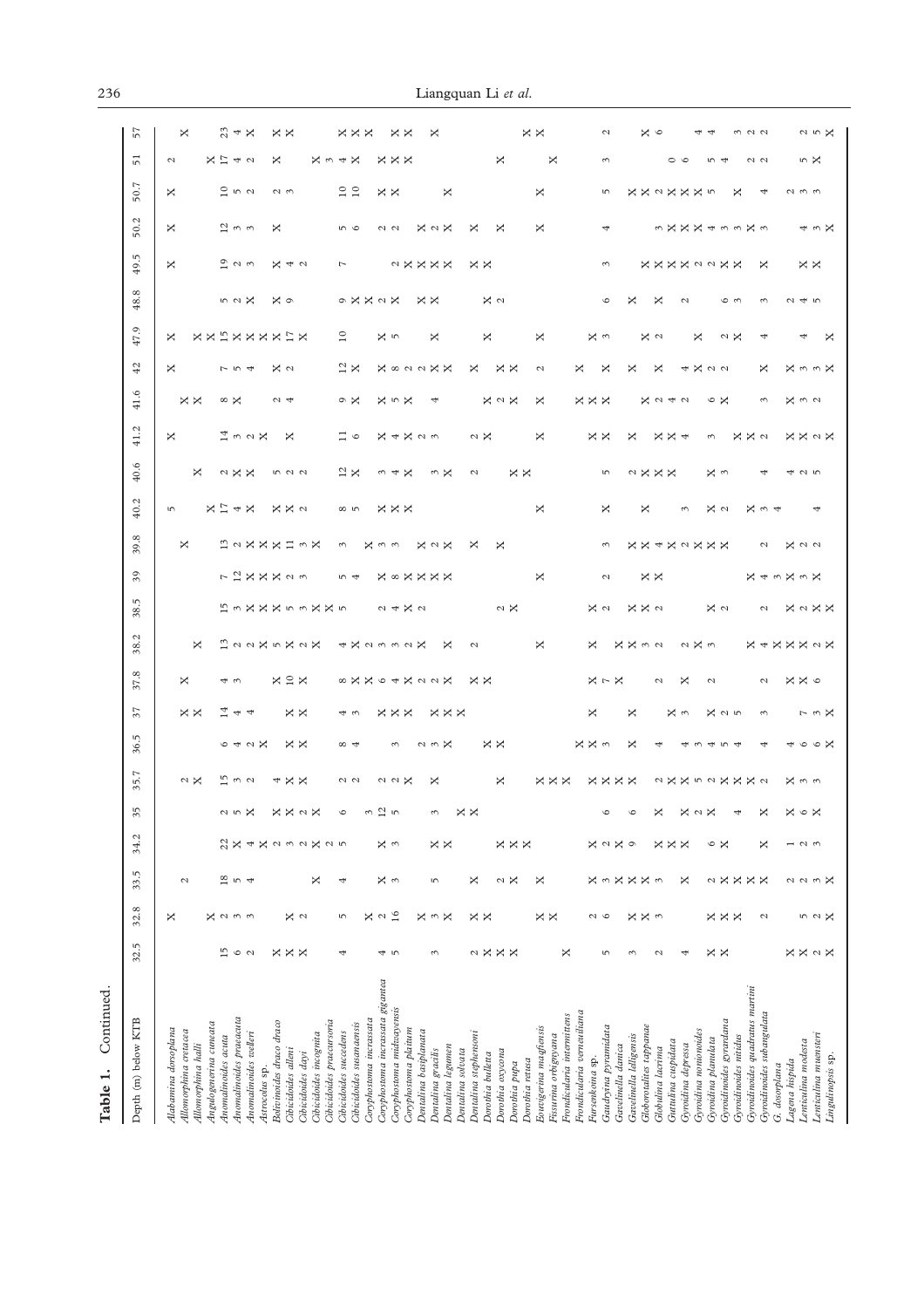| ŕ      |  |
|--------|--|
|        |  |
| с<br>à |  |

| ×<br>12 22X5X2X<br>4X2332X<br>×<br>$\mathcal{L}$<br>$X \subseteq X$<br>8 X X G A X a a X<br>$\times \times$<br>×<br>40<br>$\times \times$<br>ਜੂ ਚਾ ਚਾ<br>$\times \times$<br>$\times\times\times$<br>$\times \times \times$<br>43<br>64N<br>$\times \times$<br>$\times \times$<br>$\alpha \omega \times$<br>$\infty$ 4<br>$\sim$<br><u>ഥ</u> ് പ<br>$\sim$ $\times$<br>×<br>$\times \times$<br>$\sim$ $\sim$<br>$\alpha \alpha \times$<br>×<br>4<br>$\overline{c}$<br>$\boldsymbol{\times}$<br>$\times x$<br>×<br>×<br>×<br>$\mathcal{L}$<br>3<br>ι∩<br>u r<br>$\circ$<br>3<br>22<br>ΧX<br>$\times\times\times$<br>×<br>$X \cap D$<br>χ<br>3<br>×<br>$\mathcal{L}$<br>$\epsilon$<br>$\mathcal{L}$<br>4<br>$\frac{8}{18}$<br>χ<br>3<br>×<br>$\mathcal{L}$<br>$\sqrt{2}$<br>4<br>×<br>5<br>$\mathcal{L}$<br>×<br>16<br>$\epsilon$<br>X a<br>×<br>$\times$ $\times$<br>×<br>×<br>$\mathcal{L}$<br>$\sim$<br>×<br>$\mathcal{L}$<br>×<br>S<br>$\tilde{5}$<br>15<br>$\times \times$<br>$\circ$<br>$\mathcal{L}$<br>×<br>$\times \times$<br>4<br>4<br>3<br>×<br>S<br>$\mathcal{L}$<br>Coryphostoma incrassata gigantea<br>Coryphostoma midwayensis<br>Anomalinoides praeacuta<br>Coryphostoma incrassata<br>Cibicidoides praecursoria<br>Bolivinoides draco draco<br>Angulogenerina cuneata<br>Cibicidoides susanaensis<br>Coryphostoma plaitum<br>Alabamina dorsoplana<br>Allomorphina cretacea<br>Dentalina basiplanata<br>Cibicidoides succedens<br>Dentalina stephensom<br>Anomalinoides welleri<br>Cibicidoides incognita<br>Anomalinoides acuta<br>Allomorphina halli<br>Dentalina legumen<br>Dentalina solvata<br>Cibicidoides alleni<br>Dentalina gracilis<br>Dorothia oxycona<br>Cibicidoides dayi<br>Dorothia bulletta<br>Dorothia pupa<br>Astrocolus sp. |
|-------------------------------------------------------------------------------------------------------------------------------------------------------------------------------------------------------------------------------------------------------------------------------------------------------------------------------------------------------------------------------------------------------------------------------------------------------------------------------------------------------------------------------------------------------------------------------------------------------------------------------------------------------------------------------------------------------------------------------------------------------------------------------------------------------------------------------------------------------------------------------------------------------------------------------------------------------------------------------------------------------------------------------------------------------------------------------------------------------------------------------------------------------------------------------------------------------------------------------------------------------------------------------------------------------------------------------------------------------------------------------------------------------------------------------------------------------------------------------------------------------------------------------------------------------------------------------------------------------------------------------------------------------------------------------------------------------------------------------------------------------------|
|                                                                                                                                                                                                                                                                                                                                                                                                                                                                                                                                                                                                                                                                                                                                                                                                                                                                                                                                                                                                                                                                                                                                                                                                                                                                                                                                                                                                                                                                                                                                                                                                                                                                                                                                                             |
|                                                                                                                                                                                                                                                                                                                                                                                                                                                                                                                                                                                                                                                                                                                                                                                                                                                                                                                                                                                                                                                                                                                                                                                                                                                                                                                                                                                                                                                                                                                                                                                                                                                                                                                                                             |
|                                                                                                                                                                                                                                                                                                                                                                                                                                                                                                                                                                                                                                                                                                                                                                                                                                                                                                                                                                                                                                                                                                                                                                                                                                                                                                                                                                                                                                                                                                                                                                                                                                                                                                                                                             |
|                                                                                                                                                                                                                                                                                                                                                                                                                                                                                                                                                                                                                                                                                                                                                                                                                                                                                                                                                                                                                                                                                                                                                                                                                                                                                                                                                                                                                                                                                                                                                                                                                                                                                                                                                             |
|                                                                                                                                                                                                                                                                                                                                                                                                                                                                                                                                                                                                                                                                                                                                                                                                                                                                                                                                                                                                                                                                                                                                                                                                                                                                                                                                                                                                                                                                                                                                                                                                                                                                                                                                                             |
| ×<br>$\times \times \times$<br>×<br>$\times \times$<br>×<br>Frondicularia intermittens<br>Eouvigerina magfiensis<br>Fissurina orbignyana<br>Dorothia retusa                                                                                                                                                                                                                                                                                                                                                                                                                                                                                                                                                                                                                                                                                                                                                                                                                                                                                                                                                                                                                                                                                                                                                                                                                                                                                                                                                                                                                                                                                                                                                                                                 |
| ×<br>X X n a<br>$X \cup X$<br>×<br>×<br>$X \times \omega$<br>×<br><b>xxxx</b><br>$\circ$<br>$\circ$<br>$\times$<br>×<br>$\mathcal{L}$<br>$\circ$<br>×<br>×<br>×<br>$\sim$<br>×<br>5<br>3<br>Frondicularia verneuiliana<br>Gaudryina pyramidata<br>Gavelinella lelligensis<br>Gavelinella danica<br>Fursenkoina sp.                                                                                                                                                                                                                                                                                                                                                                                                                                                                                                                                                                                                                                                                                                                                                                                                                                                                                                                                                                                                                                                                                                                                                                                                                                                                                                                                                                                                                                          |
| $\alpha \times \omega$<br>$\sim$<br>×<br>× ∾<br>4<br>$\sim$<br>×<br>×<br>×<br>×<br>×<br>$\times$<br>3<br>×<br>x <sub>w</sub><br>4<br>$\mathcal{L}$<br>Globorotalites tappanae<br>Gyroidina nonionoides<br>Guttulina cuspidata<br>Gyroidina depressa<br>Globulina lacrima                                                                                                                                                                                                                                                                                                                                                                                                                                                                                                                                                                                                                                                                                                                                                                                                                                                                                                                                                                                                                                                                                                                                                                                                                                                                                                                                                                                                                                                                                    |
| <b>X + X X X &lt; X</b><br>$\mathcal{L}$<br>$X \times 6$<br>$\mathcal{L}$<br>$x \alpha$<br>$\epsilon$<br>$\sim \omega \times$<br>$\circ \circ \times$<br>4<br>$n \nightharpoonup$<br>a x x n a x x x a<br>X n n<br>X<br>×<br>$\circ x$<br>$\sim$ $\times$<br>4<br>×<br>$\circ$<br>×<br>$\sim$<br>$\overline{\phantom{0}}$<br>$\mathcal{L}$<br>×<br>×<br>×<br>Z<br>$\mathcal{L}$<br>$\omega \times$<br>×<br>× ×<br>$\times$<br>5 2 X<br>$\mathcal{L}$<br>$\times \times$<br>$X \cup X$<br>×.<br>Gyroidinoides quadratus martini<br>Gyroidinoides subangulata<br>Gyroidinoides gyrardana<br>Lenticulina muensteri<br>Gyroidinoides nitidus<br>Gyroidina planulata<br>Lenticulina modesta<br>Lingulinopsis sp.<br>Lagena hispida<br>G. dosorplana                                                                                                                                                                                                                                                                                                                                                                                                                                                                                                                                                                                                                                                                                                                                                                                                                                                                                                                                                                                                              |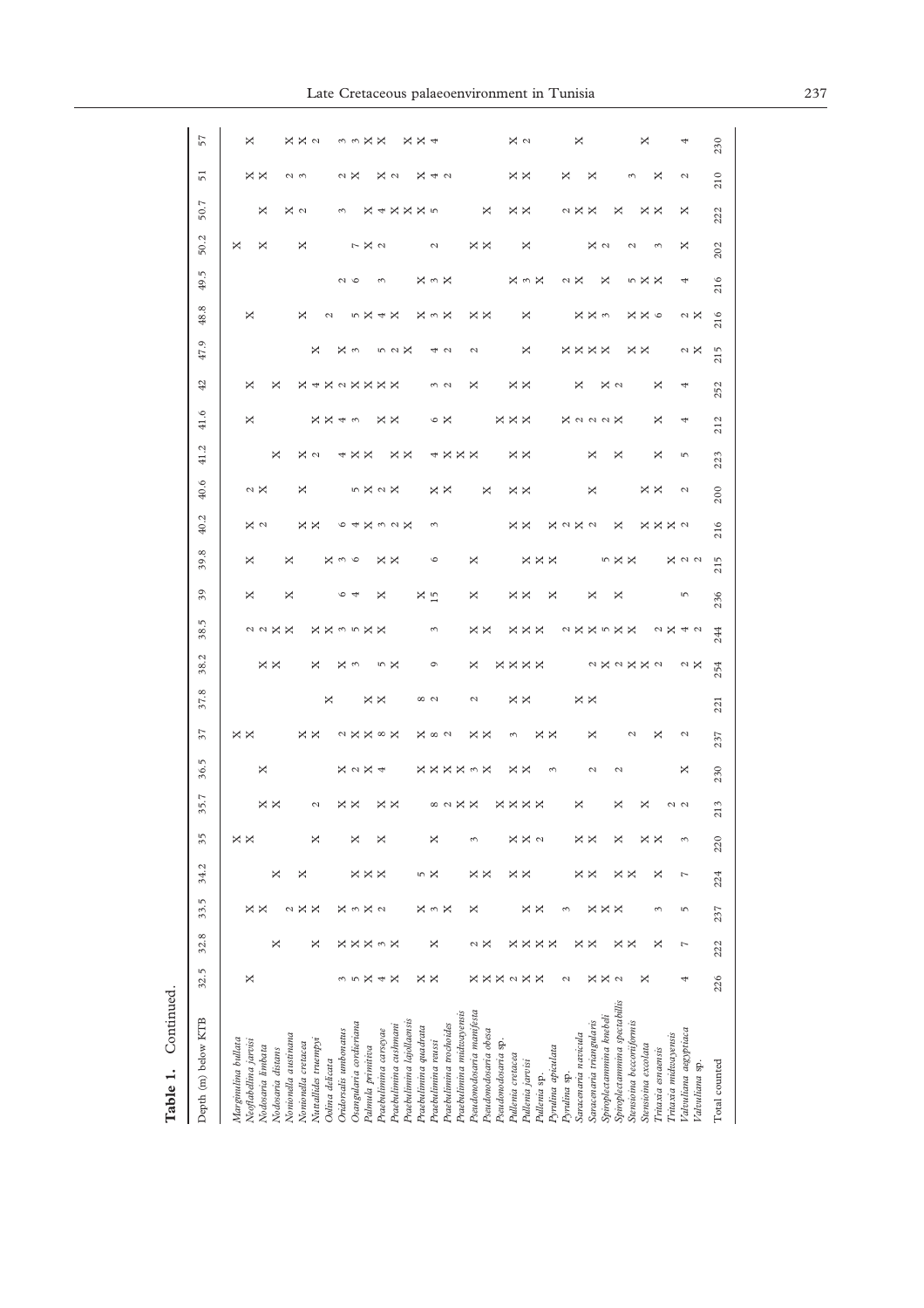| Depth (m) below KTB                     | 32.5            | 32.8               | 33.5                 | 34.2              | 35                | 35.7              | 36.5                    | 57  | 38.<br>37.8       | 38.<br>L,       | 39<br>Ιņ                      | 39.8       | 40.2              | 40.6            | 41.2              | 41.6                 | 42                             | 47.9            | œ<br>48.            | 49.5         | 50.2              | 50.7                         | 51              | 57             |
|-----------------------------------------|-----------------|--------------------|----------------------|-------------------|-------------------|-------------------|-------------------------|-----|-------------------|-----------------|-------------------------------|------------|-------------------|-----------------|-------------------|----------------------|--------------------------------|-----------------|---------------------|--------------|-------------------|------------------------------|-----------------|----------------|
| Marginulina bullata                     |                 |                    |                      |                   |                   |                   |                         |     |                   |                 |                               |            |                   |                 |                   |                      |                                |                 |                     |              | ×                 |                              |                 |                |
| Neoflabellina jarvisi                   | ×               |                    | $\times \times$      |                   | $\times$ $\times$ |                   | $\times$ $\times$       |     |                   |                 | ×                             | ×          | X a               | $\sim \times$   |                   | ×                    | ×                              |                 | ×                   |              |                   |                              | $\times \times$ | ×              |
| Vodosaria limbata<br>Vodosaria distans  |                 | ×                  |                      | ×                 |                   | ××                | ×                       |     |                   | $\times \times$ | 22 X X                        |            |                   |                 | ×                 |                      | ×                              |                 |                     |              | ×                 | ×                            |                 |                |
| Vonionella austinana                    |                 |                    | Z                    |                   |                   |                   |                         |     |                   |                 | ×                             | ×          |                   |                 |                   |                      |                                |                 |                     |              |                   |                              |                 |                |
| Vonionella cretacea                     |                 |                    | ×                    | ×                 |                   |                   |                         |     |                   |                 |                               |            |                   | ×               |                   |                      |                                |                 | ×                   |              | ×                 | ×α                           | $\sim$ $\sim$   | × ×            |
| Vuttallides truempyi                    |                 | ×                  | ×                    |                   | ×                 | $\mathcal{L}$     | $\times \times$         |     |                   | ×               |                               |            | $\times$ $\times$ |                 | X a               |                      | <b>X &amp; X &amp; X X X X</b> | ×               |                     |              |                   |                              |                 | $\mathcal{L}$  |
| Oolina delicata                         |                 |                    |                      |                   |                   |                   |                         |     | ×                 |                 |                               |            |                   |                 |                   | $\times \times 4$    |                                |                 | $\mathcal{L}$       |              |                   |                              |                 |                |
| Oridorsalis umbonatus                   | $\sim$          | ×                  | ×                    |                   |                   |                   |                         |     |                   | ×               | $\circ$ 4                     | Κω         |                   |                 | 4                 |                      |                                |                 |                     | $\sim$       |                   |                              |                 |                |
| Osangularia cordieriana                 | S               | ×                  | $\mathcal{C}$        |                   | ×                 | $\times \times$   |                         |     |                   | 3               |                               | $\circ$    | ৩ ক               |                 | $\times \times$   | 3                    |                                | × ∾             |                     |              |                   |                              | $\sim \times$   |                |
| Palmula primitiva                       | ×               | ×                  | $\times$ $\circ$     | <b>xxx</b>        |                   |                   | ≈××∞×<br><b>X</b> < X + |     | $\times \times$   |                 | <b>XX35X</b>                  |            |                   | <b>5X2X</b>     |                   |                      |                                |                 | n X                 |              | $R \times 2$      |                              |                 | る<br>3 又 又     |
| Praebulimina carseyae                   | 4               | $\omega \times$    |                      |                   | ×                 |                   |                         |     |                   |                 | ×<br>×                        |            |                   |                 |                   |                      |                                |                 | $4 \times$          | $\tilde{ }$  |                   |                              |                 |                |
| Praebulimina cushmani                   | ×               |                    |                      |                   |                   | $\times$ $\times$ |                         |     |                   | n X             |                               | × ×        | <b>X</b> naX      |                 |                   | × ×                  |                                | 5 2 X           |                     |              |                   | $\times$ 4 $\times$ $\times$ | X U             |                |
| Praebulimina lajollaensis               |                 |                    |                      |                   |                   |                   |                         |     |                   |                 |                               |            |                   |                 | $\times$ $\times$ |                      |                                |                 |                     |              |                   |                              |                 |                |
| Praebulimina quadrata                   |                 |                    | ×                    |                   |                   |                   | ×                       |     |                   |                 | $x_{15}$                      |            |                   |                 |                   |                      |                                |                 |                     |              |                   | x <sub>p</sub>               | ×               | ××             |
| Praebulimina reussi                     | $\times \times$ | ×                  | $\sim$ $\times$      | n X               | ×                 |                   | $\infty$ $\sim$         |     | $\infty$ $\sim$   | Ó               | 3                             | G          | 3                 |                 |                   |                      |                                |                 | $\times$ 4 $\times$ | <b>X</b> n X | 2                 |                              |                 |                |
| Praebulimina trochoides                 |                 |                    |                      |                   |                   |                   |                         |     |                   |                 |                               |            |                   | × ×             | 4 X               | φ×                   | $\frac{3}{2}$                  | 4 U             |                     |              |                   |                              | 4 U             |                |
| Praebulimina midwayensis                |                 |                    |                      |                   |                   | ∞ ∾ × ×           | <b>XXXX^X</b>           |     |                   |                 |                               |            |                   |                 | $\times \times$   |                      |                                |                 |                     |              |                   |                              |                 |                |
| Pseudonodosaria manifesta               |                 |                    | ×                    |                   | 3                 |                   |                         |     | $\mathcal{L}$     | ×               | ×                             | ×          |                   |                 |                   |                      | ×                              | 2               |                     |              |                   |                              |                 |                |
| Pseudonodosaria obesa                   | ××              | $\approx$ $\times$ |                      | × ×               |                   |                   | × ×                     |     |                   |                 | $\times \times$               |            |                   | ×               |                   |                      |                                |                 | $\times$ $\times$   |              | $\times$ $\times$ | ×                            |                 |                |
| Pseudonodosaria sp.                     | <b>X</b> < X X  |                    |                      |                   |                   |                   |                         |     |                   |                 |                               |            |                   |                 |                   |                      |                                |                 |                     |              |                   |                              |                 |                |
| Pullenia cretacea                       |                 | ×                  |                      | × ×               | ×                 |                   | $\epsilon$<br>× ×       |     | $\times \times$   |                 | $\times \times$               |            | $\times \times$   | $\times \times$ | ××                | $\times\times\times$ | $\times \times$                |                 |                     |              |                   | $\times \times$              | $\times \times$ | x <sub>o</sub> |
| Pullenia jarvisi                        |                 | ×                  |                      |                   | x <sub>a</sub>    | <b>xxxx</b>       |                         |     |                   | <b>xxxx</b>     | $\times\times\times$          | <b>xxx</b> |                   |                 |                   |                      |                                | ×               | ×                   | <b>×3×</b>   | ×                 |                              |                 |                |
| Pullenia sp.                            |                 | $\times \times$    | $\times$ $\times$    |                   |                   |                   | × ×                     |     |                   |                 |                               |            |                   |                 |                   |                      |                                |                 |                     |              |                   |                              |                 |                |
| Pyrulina apiculata                      |                 |                    |                      |                   |                   |                   | 3                       |     |                   |                 | ×                             |            | ×                 |                 |                   |                      |                                |                 |                     |              |                   |                              |                 |                |
| Pyrulina sp.                            | 2               |                    | 3                    |                   |                   |                   |                         |     |                   |                 |                               |            | $\mathcal{L}$     |                 |                   |                      |                                |                 |                     | U X          |                   |                              | ×               |                |
| Saracenaria navicula                    |                 | ×                  |                      | $\times$ $\times$ | ×                 | ×                 |                         |     | $\times$ $\times$ |                 |                               |            | x <sub>a</sub>    |                 |                   | <b>X</b> a a a X     | ×                              | <b>xxxx</b>     |                     |              |                   | $\sim$ $\times$ $\times$     |                 | ×              |
| Saracenaria triangularis                | $x \times z$    | ×                  |                      |                   | ×                 |                   | ×<br>$\mathcal{L}$      |     |                   |                 | ×                             |            |                   | ×               | ×                 |                      |                                |                 | X X n               |              | X U               |                              | ×               |                |
| Spiroplectammina knebeli                |                 |                    | $\times\times\times$ |                   |                   |                   |                         |     |                   |                 |                               |            |                   |                 |                   |                      | $x \sim$                       |                 |                     | ×            |                   |                              |                 |                |
| Spiroplectammina spectabillis           |                 | ×                  |                      | × ×               | ×                 | ×                 | Σ                       |     |                   |                 | ×<br>2XX5XX                   | 5X X       | ×                 |                 | ×                 |                      |                                |                 |                     |              |                   | ×                            |                 |                |
| Stensioina beccoriformis                |                 | X                  |                      |                   |                   |                   | $\mathcal{L}$           |     |                   |                 |                               |            |                   |                 |                   |                      |                                |                 |                     |              | 2                 |                              | 3               |                |
| Stensioina excolata                     | ×               |                    |                      |                   | ××                | ×                 |                         |     |                   | 2X2XX2          |                               |            |                   |                 |                   |                      |                                | $\times \times$ | $X \times 6$        | 5<br>X<br>X  |                   |                              |                 | ×              |
| Tritaxia esnaensis                      |                 | ×                  | 3                    | ×                 |                   |                   | ×                       |     |                   |                 |                               |            | <b>X X X a</b>    | $\times \times$ | ×                 | ×                    | ×                              |                 |                     |              | $\sim$            | × ×                          | ×               |                |
| Tritaxia midwayensis                    |                 |                    |                      |                   |                   | 2<br>2            |                         |     |                   |                 |                               |            |                   |                 |                   |                      |                                |                 |                     |              |                   |                              |                 |                |
| Valvuliana aegyptiaca<br>Valvuliana sp. | 4               | L                  | S                    | L                 | 3                 |                   | $\mathcal{L}$<br>×      |     |                   | $\sim \times$   | S<br>$\alpha \times 4 \alpha$ | X a a      |                   | $\mathcal{L}$   | S                 | 4                    | 4                              | $\sim \times$   | $\sim \times$       | 4            | ×                 | ×                            | $\mathcal{L}$   |                |
| Total counted                           | 226             | 222                | 237                  | 224               | 220               | 213               | 237<br>230              | 221 | 254               | 244             | 236                           | 215        | 216               | 200             | 223               | 212                  | 252                            | 215             | 216                 | 216          | 202               | 222                          | 230<br>210      |                |
|                                         |                 |                    |                      |                   |                   |                   |                         |     |                   |                 |                               |            |                   |                 |                   |                      |                                |                 |                     |              |                   |                              |                 |                |

**Table 1.** Continued.

Table 1. Continued.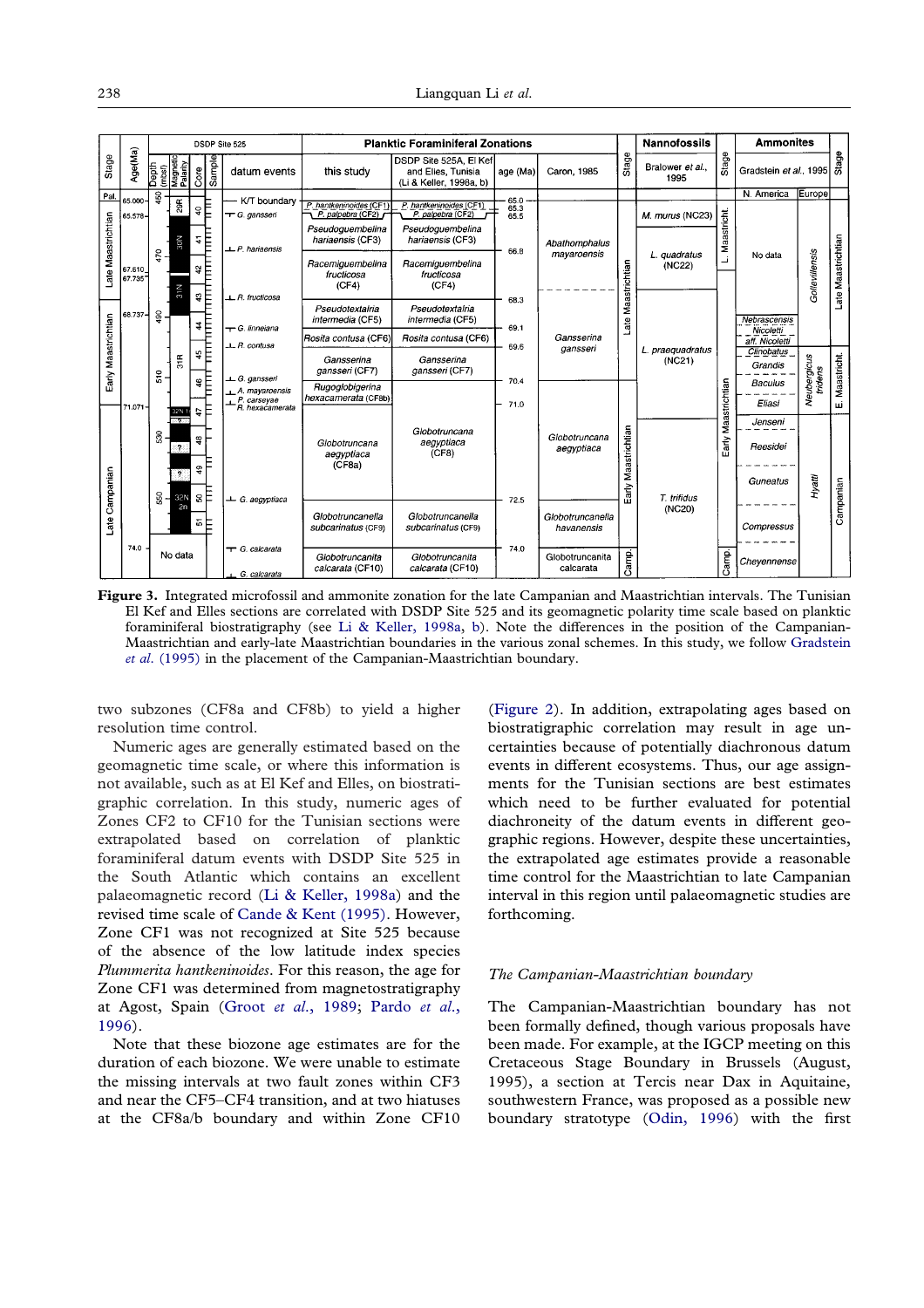<span id="page-7-0"></span>

|                     |                  |                                         |               | DSDP Site 525         |                                                                   |                                              | <b>Planktic Foraminiferal Zonations</b>                                 |              |                                |               | <b>Nannofossils</b>        |               | <b>Ammonites</b>            |                        |                    |
|---------------------|------------------|-----------------------------------------|---------------|-----------------------|-------------------------------------------------------------------|----------------------------------------------|-------------------------------------------------------------------------|--------------|--------------------------------|---------------|----------------------------|---------------|-----------------------------|------------------------|--------------------|
| Stage               | Age(Ma)          | Depth<br>(mbsf)<br>Magnetic<br>Palarity |               | Sample<br>$C$ ore     | datum events                                                      | this study                                   | DSDP Site 525A, El Kef<br>and Elles, Tunisia<br>(Li & Keller, 1998a, b) | age (Ma)     | Caron, 1985                    | Stage         | Bralower et al<br>1995     | Stage         | Gradstein et al., 1995      |                        | Stage              |
| Pal.                | 65.000           | 450                                     |               |                       | K/T boundary                                                      |                                              |                                                                         | 65.0         |                                |               |                            |               | N. America                  | Europe                 |                    |
|                     | 65.578-          |                                         | 29R           | E<br>$\overline{a}$   | <sup>T</sup> G. gansseri                                          | P. hantkeninoides (CF1)<br>P. palpebra (CF2) | P. hantkeninoides (CF1)<br>P. palpebra (CF2)                            | 65.3<br>65.5 |                                |               | M. murus (NC23)            |               |                             |                        |                    |
|                     |                  |                                         | ā,            | Ē<br>4                | $L$ P. hariaensis                                                 | Pseudoguembelina<br>hariaensis (CF3)         | Pseudoguembelina<br>hariaensis (CF3)                                    | 66.8         | Abathomphalus                  |               |                            | Maastricht.   |                             |                        |                    |
| Late Maastrichtian  | 67.610<br>67.735 | 470                                     |               | Ē<br>ð,               |                                                                   | Racemiguembelina<br>fructicosa               | Racemiguembelina<br>fructicosa                                          |              | mayaroensis                    | Maastrichtian | L. guadratus<br>(NC22)     | Ľ             | No data                     | Gollevillensis         | Late Maastrichtian |
|                     |                  |                                         | 31N           | E<br>$\boldsymbol{3}$ | $\perp$ R. fructicosa                                             | (CF4)                                        | (CF4)                                                                   |              |                                |               |                            |               |                             |                        |                    |
|                     | 68.737-          | 490                                     |               | E<br>4                |                                                                   | Pseudotextalria<br>intermedia (CF5)          | Pseudotextalria<br>intermedia (CF5)                                     | 68.3         |                                | Late          |                            |               | Nebrascensis                |                        |                    |
|                     |                  |                                         |               |                       | - G. linneiana<br>$\perp$ R. contusa                              | Rosita contusa (CF6)                         | Rosita contusa (CF6)                                                    | 69.1         | Gansserina                     |               |                            |               | Nicoletti<br>aff. Nicoletti |                        |                    |
| Early Maastrichtian |                  | 510                                     | $\frac{1}{5}$ | ۴È                    |                                                                   | Gansserina<br>gansseri (CF7)                 | Gansserina<br>gansseri (CF7)                                            | 69.6         | gansseri                       |               | L. praequadratus<br>(NC21) |               | Clinobatus<br>Grandis       |                        |                    |
|                     | 71.071           |                                         |               | Ē<br>46               | L G. gansseri<br>A. mayaroensis<br>P. carseyae<br>R. hexacamerata | Rugoglobigerina<br>hexacamerata (CF8b)       |                                                                         | 70.4<br>71.0 |                                |               |                            | Maastrichtian | <b>Baculus</b><br>Eliasi    | Neubergicus<br>tridens | E. Maastricht.     |
|                     |                  |                                         | 32N 1<br>ा का | еĘ                    |                                                                   |                                              |                                                                         |              |                                |               |                            |               | Jenseni                     |                        |                    |
|                     |                  | 530                                     | 2             | 48                    |                                                                   | Globotruncana<br>aegyptiaca                  | Globotruncana<br>aegyptiaca<br>(CF8)                                    |              | Globotruncana<br>aegyptiaca    | Maastrichtian |                            | Early         | Reesidei                    |                        |                    |
|                     |                  |                                         | 7             | $\frac{6}{4}$         |                                                                   | (CF8a)                                       |                                                                         |              |                                |               |                            |               |                             |                        |                    |
| Late Campanian      |                  |                                         |               | зF                    |                                                                   |                                              |                                                                         |              |                                | Early         | T. trifidus                |               | Guneatus                    | Hyatii                 | Campanian          |
|                     |                  | 550                                     | 32N<br>2n     |                       | ← G. aegyptiaca                                                   |                                              |                                                                         | 72.5         |                                |               | (NC20)                     |               |                             |                        |                    |
|                     |                  |                                         |               | 한                     |                                                                   | Globotruncanella<br>subcarinatus (CF9)       | Globotruncanella<br>subcarinatus (CF9)                                  |              | Globotruncanella<br>havanensis |               |                            |               | Compressus                  |                        |                    |
|                     | 74.0             |                                         | No data       |                       | <sup>-</sup> G. calcarata                                         | Globotruncanita<br>calcarata (CF10)          | Globotruncanita<br>calcarata (CF10)                                     | 74.0         | Globotruncanita<br>calcarata   | Camp.         |                            | Camp.         | Chevennense                 |                        |                    |
|                     |                  |                                         |               |                       | G. calcarata                                                      |                                              |                                                                         |              |                                |               |                            |               |                             |                        |                    |

**Figure 3.** Integrated microfossil and ammonite zonation for the late Campanian and Maastrichtian intervals. The Tunisian El Kef and Elles sections are correlated with DSDP Site 525 and its geomagnetic polarity time scale based on planktic foraminiferal biostratigraphy (see [Li & Keller, 1998a,](#page-20-21) [b\)](#page-20-19). Note the differences in the position of the Campanian-Maastrichtian and early-late Maastrichtian boundaries in the various zonal schemes. In this study, we follow [Gradstein](#page-20-25) *[et al](#page-20-25)*[. \(1995\)](#page-20-25) in the placement of the Campanian-Maastrichtian boundary.

two subzones (CF8a and CF8b) to yield a higher resolution time control.

Numeric ages are generally estimated based on the geomagnetic time scale, or where this information is not available, such as at El Kef and Elles, on biostratigraphic correlation. In this study, numeric ages of Zones CF2 to CF10 for the Tunisian sections were extrapolated based on correlation of planktic foraminiferal datum events with DSDP Site 525 in the South Atlantic which contains an excellent palaeomagnetic record [\(Li & Keller, 1998a\)](#page-20-21) and the revised time scale of [Cande & Kent \(1995\).](#page-19-7) However, Zone CF1 was not recognized at Site 525 because of the absence of the low latitude index species *Plummerita hantkeninoides*. For this reason, the age for Zone CF1 was determined from magnetostratigraphy at Agost, Spain (Groot *et al*[., 1989;](#page-20-23) [Pardo](#page-20-8) *et al*., [1996](#page-20-8)).

Note that these biozone age estimates are for the duration of each biozone. We were unable to estimate the missing intervals at two fault zones within CF3 and near the CF5–CF4 transition, and at two hiatuses at the CF8a/b boundary and within Zone CF10

[\(Figure 2\)](#page-2-0). In addition, extrapolating ages based on biostratigraphic correlation may result in age uncertainties because of potentially diachronous datum events in different ecosystems. Thus, our age assignments for the Tunisian sections are best estimates which need to be further evaluated for potential diachroneity of the datum events in different geographic regions. However, despite these uncertainties, the extrapolated age estimates provide a reasonable time control for the Maastrichtian to late Campanian interval in this region until palaeomagnetic studies are forthcoming.

#### *The Campanian-Maastrichtian boundary*

The Campanian-Maastrichtian boundary has not been formally defined, though various proposals have been made. For example, at the IGCP meeting on this Cretaceous Stage Boundary in Brussels (August, 1995), a section at Tercis near Dax in Aquitaine, southwestern France, was proposed as a possible new boundary stratotype [\(Odin, 1996\)](#page-20-24) with the first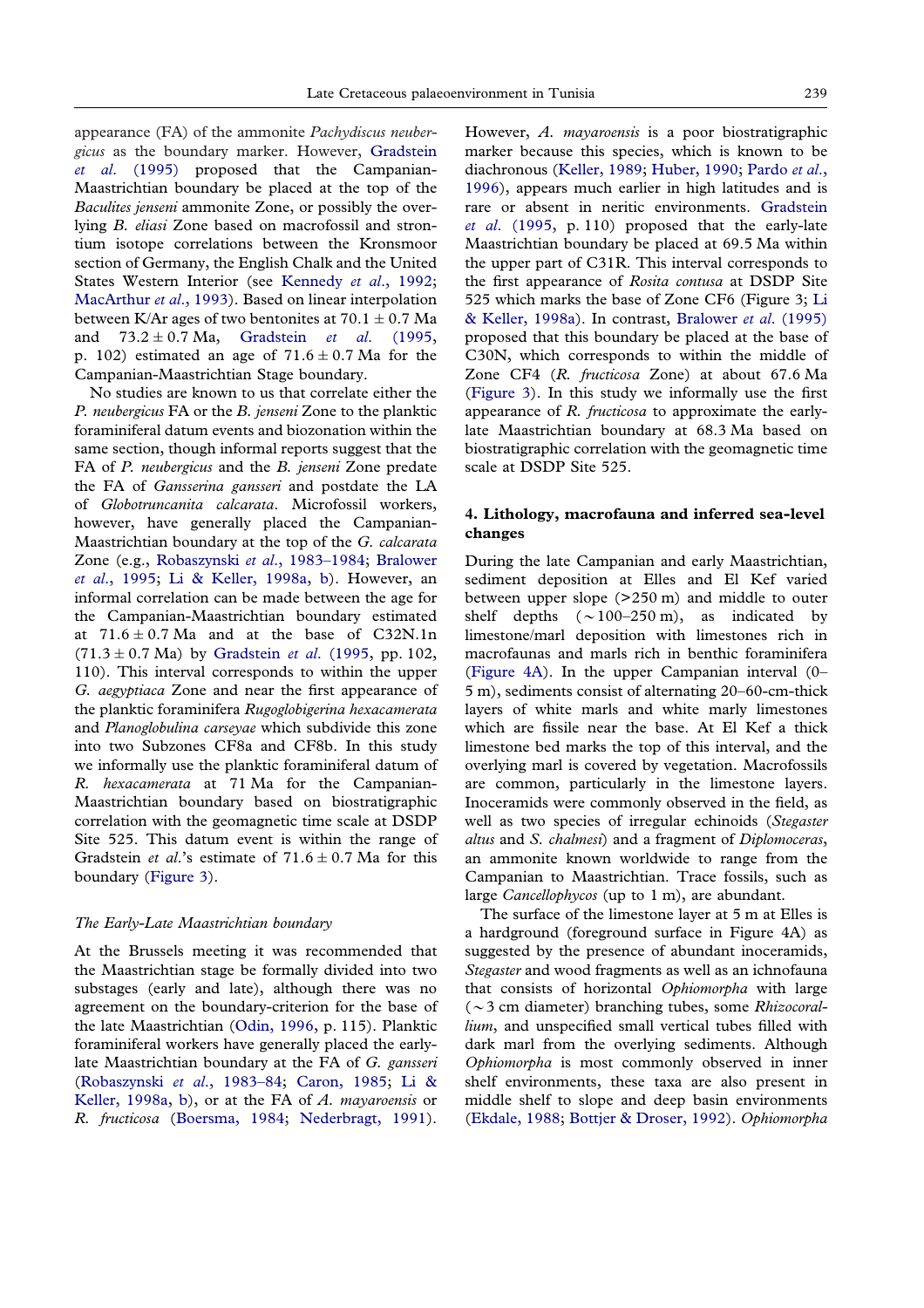appearance (FA) of the ammonite *Pachydiscus neubergicus* as the boundary marker. However, [Gradstein](#page-20-25) *et al*[. \(1995\)](#page-20-25) proposed that the Campanian-Maastrichtian boundary be placed at the top of the *Baculites jenseni* ammonite Zone, or possibly the overlying *B. eliasi* Zone based on macrofossil and strontium isotope correlations between the Kronsmoor section of Germany, the English Chalk and the United States Western Interior (see [Kennedy](#page-20-26) *et al*., 1992; [MacArthur](#page-20-27) *et al*., 1993). Based on linear interpolation between K/Ar ages of two bentonites at  $70.1 \pm 0.7$  Ma and 73.2 ± 0.7 Ma, [Gradstein](#page-20-25) *et al.* (1995, p. 102) estimated an age of  $71.6 \pm 0.7$  Ma for the Campanian-Maastrichtian Stage boundary.

No studies are known to us that correlate either the *P. neubergicus* FA or the *B. jenseni* Zone to the planktic foraminiferal datum events and biozonation within the same section, though informal reports suggest that the FA of *P. neubergicus* and the *B. jenseni* Zone predate the FA of *Gansserina gansseri* and postdate the LA of *Globotruncanita calcarata*. Microfossil workers, however, have generally placed the Campanian-Maastrichtian boundary at the top of the *G. calcarata* Zone (e.g., Robaszynski *et al*[., 1983–1984;](#page-20-28) [Bralower](#page-19-8) *et al*[., 1995;](#page-19-8) [Li & Keller, 1998a,](#page-20-21) [b\)](#page-20-19). However, an informal correlation can be made between the age for the Campanian-Maastrichtian boundary estimated at  $71.6 \pm 0.7$  Ma and at the base of C32N.1n  $(71.3 \pm 0.7 \text{ Ma})$  by [Gradstein](#page-20-25) *et al.* (1995, pp. 102, 110). This interval corresponds to within the upper *G. aegyptiaca* Zone and near the first appearance of the planktic foraminifera *Rugoglobigerina hexacamerata* and *Planoglobulina carseyae* which subdivide this zone into two Subzones CF8a and CF8b. In this study we informally use the planktic foraminiferal datum of *R. hexacamerata* at 71 Ma for the Campanian-Maastrichtian boundary based on biostratigraphic correlation with the geomagnetic time scale at DSDP Site 525. This datum event is within the range of Gradstein *et al.*'s estimate of  $71.6 \pm 0.7$  Ma for this boundary [\(Figure 3\)](#page-7-0).

#### *The Early-Late Maastrichtian boundary*

At the Brussels meeting it was recommended that the Maastrichtian stage be formally divided into two substages (early and late), although there was no agreement on the boundary-criterion for the base of the late Maastrichtian [\(Odin, 1996,](#page-20-24) p. 115). Planktic foraminiferal workers have generally placed the earlylate Maastrichtian boundary at the FA of *G. gansseri* [\(Robaszynski](#page-20-28) *et al*., 1983–84; [Caron, 1985;](#page-19-6) [Li &](#page-20-21) [Keller, 1998a,](#page-20-21) [b\)](#page-20-19), or at the FA of *A. mayaroensis* or *R. fructicosa* [\(Boersma, 1984;](#page-19-9) [Nederbragt, 1991\)](#page-20-22).

However, *A. mayaroensis* is a poor biostratigraphic marker because this species, which is known to be diachronous [\(Keller, 1989;](#page-20-29) [Huber, 1990;](#page-20-30) [Pardo](#page-20-8) *et al*., [1996\)](#page-20-8), appears much earlier in high latitudes and is rare or absent in neritic environments. [Gradstein](#page-20-25) *et al*[. \(1995,](#page-20-25) p. 110) proposed that the early-late Maastrichtian boundary be placed at 69.5 Ma within the upper part of C31R. This interval corresponds to the first appearance of *Rosita contusa* at DSDP Site 525 which marks the base of Zone CF6 (Figure 3; [Li](#page-20-21) [& Keller, 1998a\)](#page-20-21). In contrast, [Bralower](#page-19-8) *et al*. (1995) proposed that this boundary be placed at the base of C30N, which corresponds to within the middle of Zone CF4 (*R. fructicosa* Zone) at about 67.6 Ma [\(Figure 3\)](#page-7-0). In this study we informally use the first appearance of *R. fructicosa* to approximate the earlylate Maastrichtian boundary at 68.3 Ma based on biostratigraphic correlation with the geomagnetic time scale at DSDP Site 525.

## **4. Lithology, macrofauna and inferred sea-level changes**

During the late Campanian and early Maastrichtian, sediment deposition at Elles and El Kef varied between upper slope (>250 m) and middle to outer shelf depths  $({\sim}100-250 \text{ m})$ , as indicated by limestone/marl deposition with limestones rich in macrofaunas and marls rich in benthic foraminifera [\(Figure 4A\)](#page-10-0). In the upper Campanian interval (0– 5 m), sediments consist of alternating 20–60-cm-thick layers of white marls and white marly limestones which are fissile near the base. At El Kef a thick limestone bed marks the top of this interval, and the overlying marl is covered by vegetation. Macrofossils are common, particularly in the limestone layers. Inoceramids were commonly observed in the field, as well as two species of irregular echinoids (*Stegaster altus* and *S. chalmesi*) and a fragment of *Diplomoceras*, an ammonite known worldwide to range from the Campanian to Maastrichtian. Trace fossils, such as large *Cancellophycos* (up to 1 m), are abundant.

The surface of the limestone layer at 5 m at Elles is a hardground (foreground surface in Figure 4A) as suggested by the presence of abundant inoceramids, *Stegaster* and wood fragments as well as an ichnofauna that consists of horizontal *Ophiomorpha* with large (23 cm diameter) branching tubes, some *Rhizocorallium*, and unspecified small vertical tubes filled with dark marl from the overlying sediments. Although *Ophiomorpha* is most commonly observed in inner shelf environments, these taxa are also present in middle shelf to slope and deep basin environments [\(Ekdale, 1988;](#page-20-31) [Bottjer & Droser, 1992\)](#page-19-10). *Ophiomorpha*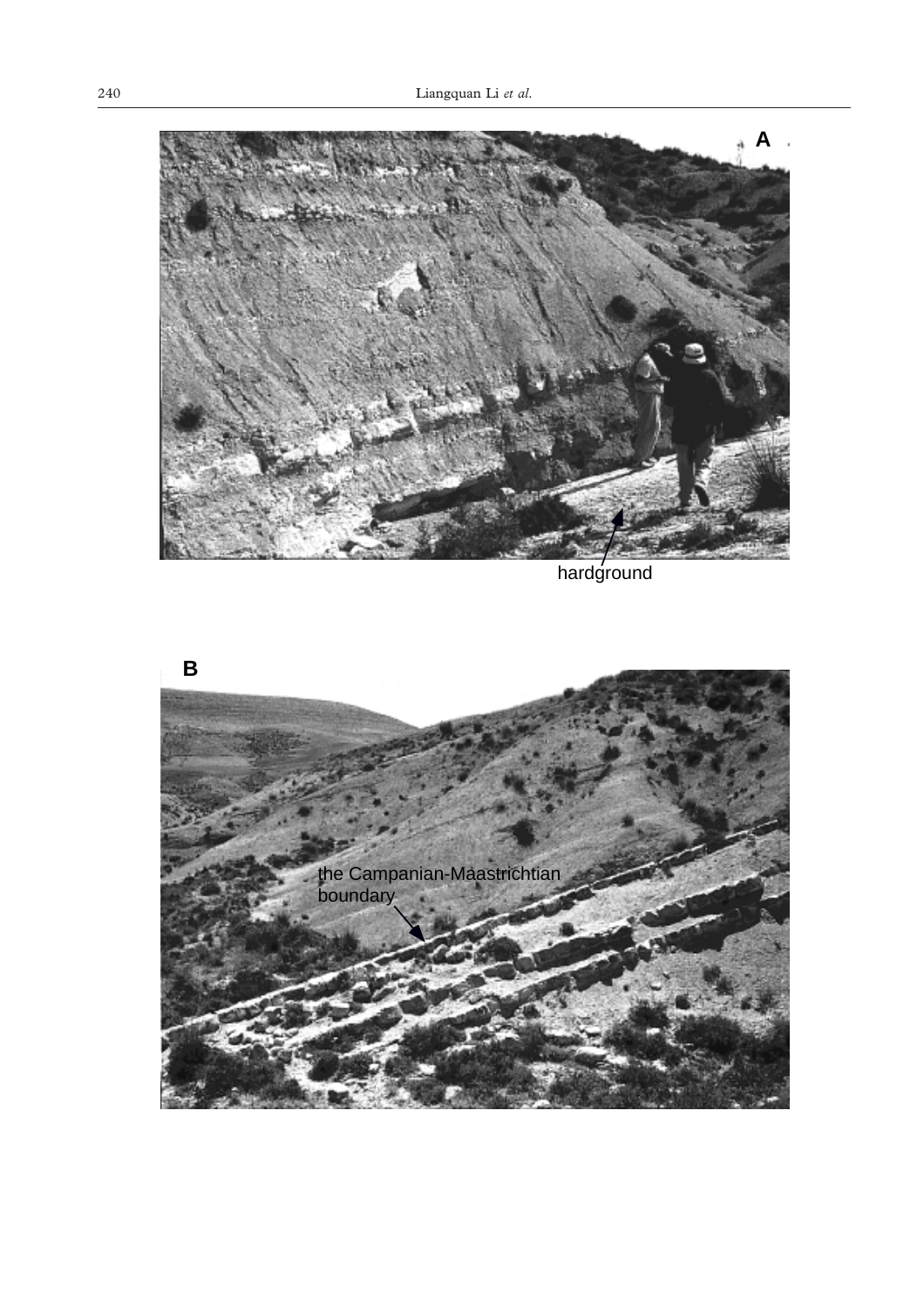

hardground

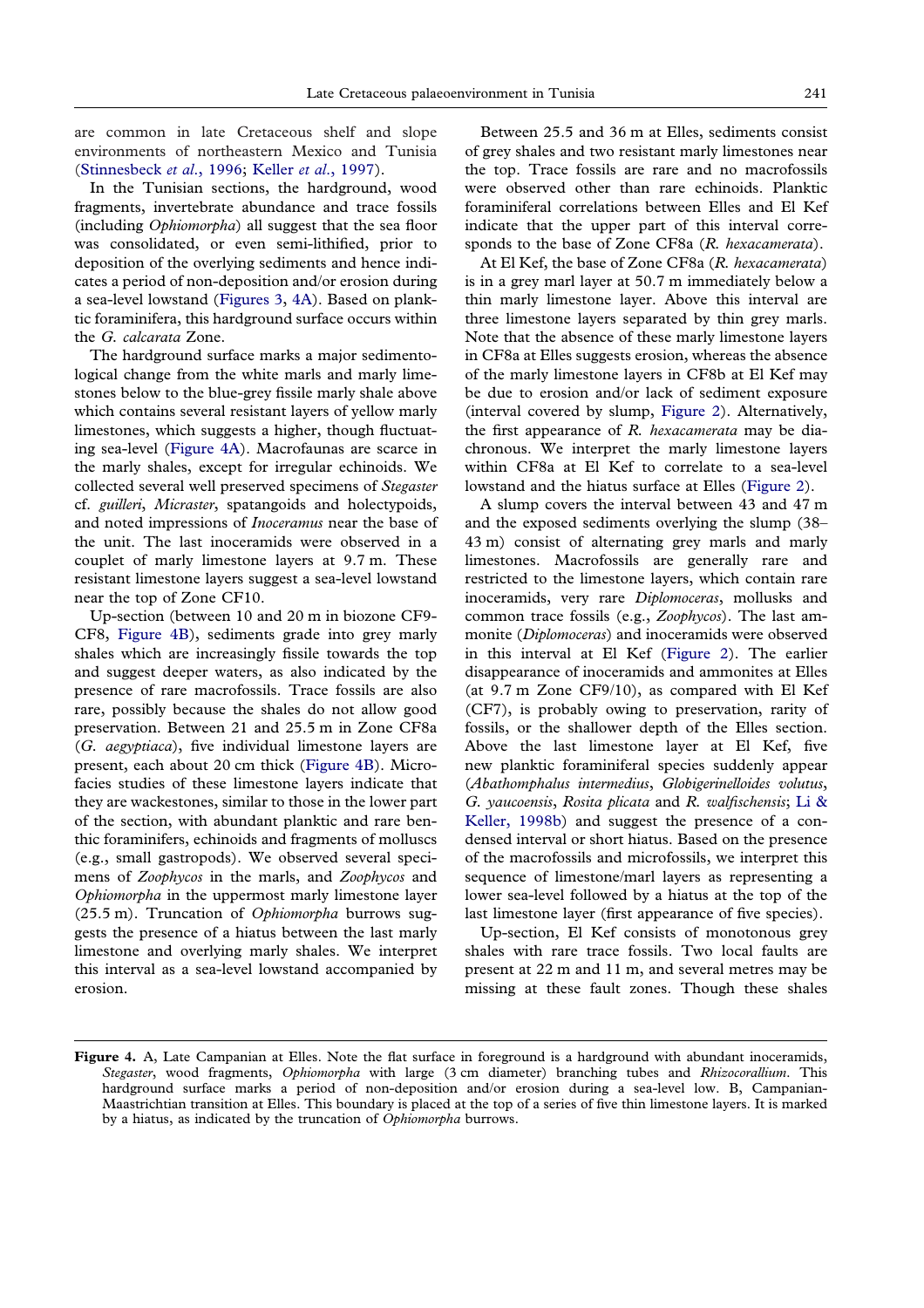<span id="page-10-0"></span>are common in late Cretaceous shelf and slope environments of northeastern Mexico and Tunisia [\(Stinnesbeck](#page-21-7) *et al*., 1996; Keller *et al*[., 1997\)](#page-20-32).

In the Tunisian sections, the hardground, wood fragments, invertebrate abundance and trace fossils (including *Ophiomorpha*) all suggest that the sea floor was consolidated, or even semi-lithified, prior to deposition of the overlying sediments and hence indicates a period of non-deposition and/or erosion during a sea-level lowstand [\(Figures 3,](#page-7-0) [4A\)](#page-10-0). Based on planktic foraminifera, this hardground surface occurs within the *G. calcarata* Zone.

The hardground surface marks a major sedimentological change from the white marls and marly limestones below to the blue-grey fissile marly shale above which contains several resistant layers of yellow marly limestones, which suggests a higher, though fluctuating sea-level [\(Figure 4A\)](#page-10-0). Macrofaunas are scarce in the marly shales, except for irregular echinoids. We collected several well preserved specimens of *Stegaster* cf. *guilleri*, *Micraster*, spatangoids and holectypoids, and noted impressions of *Inoceramus* near the base of the unit. The last inoceramids were observed in a couplet of marly limestone layers at 9.7 m. These resistant limestone layers suggest a sea-level lowstand near the top of Zone CF10.

Up-section (between 10 and 20 m in biozone CF9- CF8, [Figure 4B\)](#page-10-0), sediments grade into grey marly shales which are increasingly fissile towards the top and suggest deeper waters, as also indicated by the presence of rare macrofossils. Trace fossils are also rare, possibly because the shales do not allow good preservation. Between 21 and 25.5 m in Zone CF8a (*G. aegyptiaca*), five individual limestone layers are present, each about 20 cm thick [\(Figure 4B\)](#page-10-0). Microfacies studies of these limestone layers indicate that they are wackestones, similar to those in the lower part of the section, with abundant planktic and rare benthic foraminifers, echinoids and fragments of molluscs (e.g., small gastropods). We observed several specimens of *Zoophycos* in the marls, and *Zoophycos* and *Ophiomorpha* in the uppermost marly limestone layer (25.5 m). Truncation of *Ophiomorpha* burrows suggests the presence of a hiatus between the last marly limestone and overlying marly shales. We interpret this interval as a sea-level lowstand accompanied by erosion.

Between 25.5 and 36 m at Elles, sediments consist of grey shales and two resistant marly limestones near the top. Trace fossils are rare and no macrofossils were observed other than rare echinoids. Planktic foraminiferal correlations between Elles and El Kef indicate that the upper part of this interval corresponds to the base of Zone CF8a (*R. hexacamerata*).

At El Kef, the base of Zone CF8a (*R. hexacamerata*) is in a grey marl layer at 50.7 m immediately below a thin marly limestone layer. Above this interval are three limestone layers separated by thin grey marls. Note that the absence of these marly limestone layers in CF8a at Elles suggests erosion, whereas the absence of the marly limestone layers in CF8b at El Kef may be due to erosion and/or lack of sediment exposure (interval covered by slump, [Figure 2](#page-2-0)). Alternatively, the first appearance of *R. hexacamerata* may be diachronous. We interpret the marly limestone layers within CF8a at El Kef to correlate to a sea-level lowstand and the hiatus surface at Elles [\(Figure 2\)](#page-2-0).

A slump covers the interval between 43 and 47 m and the exposed sediments overlying the slump (38– 43 m) consist of alternating grey marls and marly limestones. Macrofossils are generally rare and restricted to the limestone layers, which contain rare inoceramids, very rare *Diplomoceras*, mollusks and common trace fossils (e.g., *Zoophycos*). The last ammonite (*Diplomoceras*) and inoceramids were observed in this interval at El Kef [\(Figure 2\)](#page-2-0). The earlier disappearance of inoceramids and ammonites at Elles (at 9.7 m Zone CF9/10), as compared with El Kef (CF7), is probably owing to preservation, rarity of fossils, or the shallower depth of the Elles section. Above the last limestone layer at El Kef, five new planktic foraminiferal species suddenly appear (*Abathomphalus intermedius*, *Globigerinelloides volutus*, *G. yaucoensis*, *Rosita plicata* and *R. walfischensis*; [Li &](#page-20-19) [Keller, 1998b\)](#page-20-19) and suggest the presence of a condensed interval or short hiatus. Based on the presence of the macrofossils and microfossils, we interpret this sequence of limestone/marl layers as representing a lower sea-level followed by a hiatus at the top of the last limestone layer (first appearance of five species).

Up-section, El Kef consists of monotonous grey shales with rare trace fossils. Two local faults are present at 22 m and 11 m, and several metres may be missing at these fault zones. Though these shales

**Figure 4.** A, Late Campanian at Elles. Note the flat surface in foreground is a hardground with abundant inoceramids, *Stegaster*, wood fragments, *Ophiomorpha* with large (3 cm diameter) branching tubes and *Rhizocorallium*. This hardground surface marks a period of non-deposition and/or erosion during a sea-level low. B, Campanian-Maastrichtian transition at Elles. This boundary is placed at the top of a series of five thin limestone layers. It is marked by a hiatus, as indicated by the truncation of *Ophiomorpha* burrows.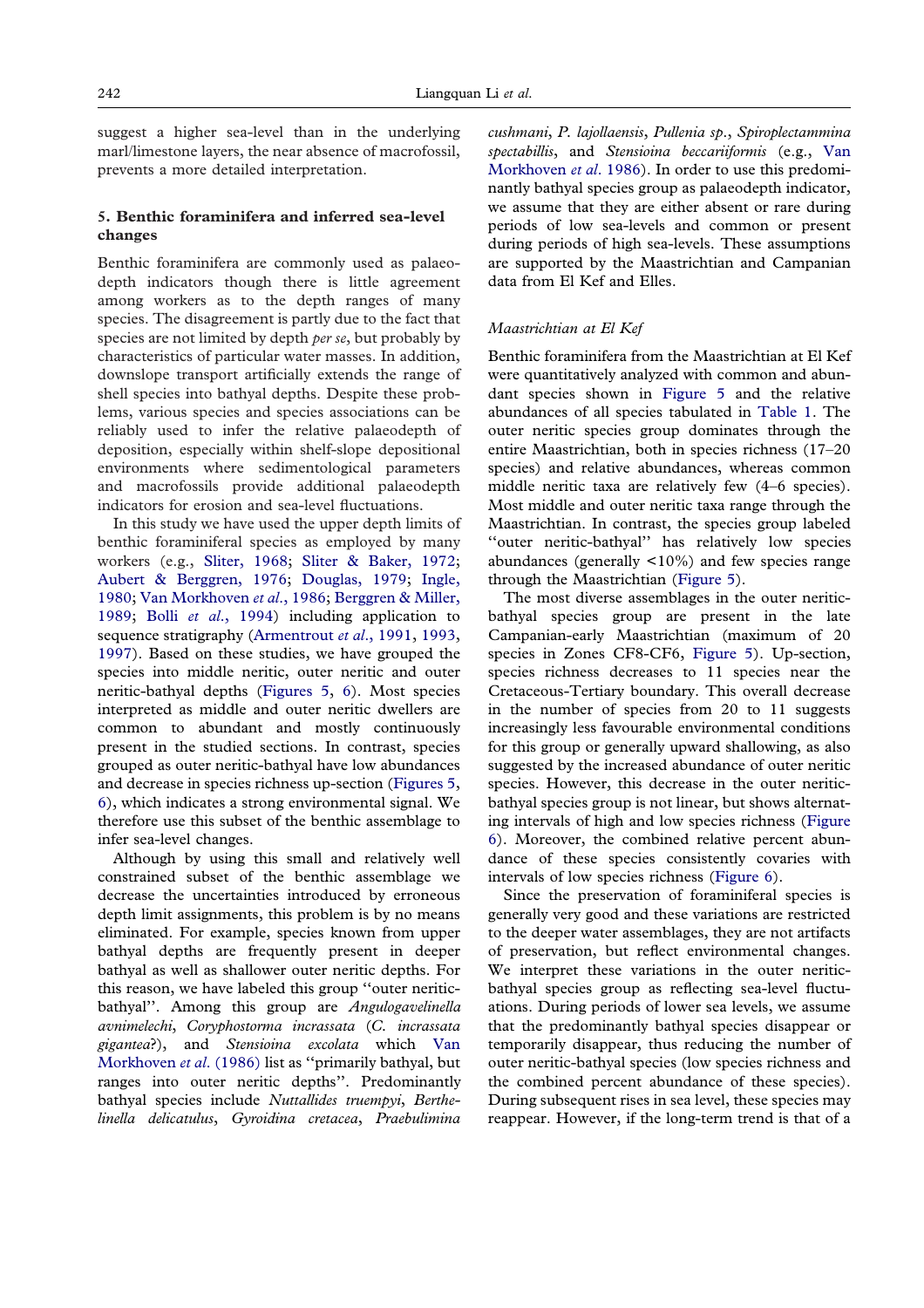suggest a higher sea-level than in the underlying marl/limestone layers, the near absence of macrofossil, prevents a more detailed interpretation.

## **5. Benthic foraminifera and inferred sea-level changes**

Benthic foraminifera are commonly used as palaeodepth indicators though there is little agreement among workers as to the depth ranges of many species. The disagreement is partly due to the fact that species are not limited by depth *per se*, but probably by characteristics of particular water masses. In addition, downslope transport artificially extends the range of shell species into bathyal depths. Despite these problems, various species and species associations can be reliably used to infer the relative palaeodepth of deposition, especially within shelf-slope depositional environments where sedimentological parameters and macrofossils provide additional palaeodepth indicators for erosion and sea-level fluctuations.

In this study we have used the upper depth limits of benthic foraminiferal species as employed by many workers (e.g., [Sliter, 1968;](#page-20-20) [Sliter & Baker, 1972;](#page-20-0) [Aubert & Berggren, 1976;](#page-19-0) [Douglas, 1979;](#page-20-9) [Ingle,](#page-20-2) [1980;](#page-20-2) [Van Morkhoven](#page-21-0) *et al*., 1986; [Berggren & Miller,](#page-19-11) [1989;](#page-19-11) Bolli *et al*[., 1994\)](#page-19-5) including application to sequence stratigraphy [\(Armentrout](#page-19-12) *et al*., 1991, [1993,](#page-19-13) [1997\)](#page-19-14). Based on these studies, we have grouped the species into middle neritic, outer neritic and outer neritic-bathyal depths [\(Figures 5,](#page-12-0) [6\)](#page-13-0). Most species interpreted as middle and outer neritic dwellers are common to abundant and mostly continuously present in the studied sections. In contrast, species grouped as outer neritic-bathyal have low abundances and decrease in species richness up-section [\(Figures 5,](#page-12-0) [6\)](#page-13-0), which indicates a strong environmental signal. We therefore use this subset of the benthic assemblage to infer sea-level changes.

Although by using this small and relatively well constrained subset of the benthic assemblage we decrease the uncertainties introduced by erroneous depth limit assignments, this problem is by no means eliminated. For example, species known from upper bathyal depths are frequently present in deeper bathyal as well as shallower outer neritic depths. For this reason, we have labeled this group ''outer neriticbathyal''. Among this group are *Angulogavelinella avnimelechi*, *Coryphostorma incrassata* (*C. incrassata gigantea*?), and *Stensioina excolata* which [Van](#page-21-0) [Morkhoven](#page-21-0) *et al*. (1986) list as ''primarily bathyal, but ranges into outer neritic depths''. Predominantly bathyal species include *Nuttallides truempyi*, *Berthelinella delicatulus*, *Gyroidina cretacea*, *Praebulimina*

*cushmani*, *P. lajollaensis*, *Pullenia sp*., *Spiroplectammina spectabillis*, and *Stensioina beccariiformis* (e.g., [Van](#page-21-0) [Morkhoven](#page-21-0) *et al*. 1986). In order to use this predominantly bathyal species group as palaeodepth indicator, we assume that they are either absent or rare during periods of low sea-levels and common or present during periods of high sea-levels. These assumptions are supported by the Maastrichtian and Campanian data from El Kef and Elles.

#### *Maastrichtian at El Kef*

Benthic foraminifera from the Maastrichtian at El Kef were quantitatively analyzed with common and abundant species shown in [Figure 5](#page-12-0) and the relative abundances of all species tabulated in [Table 1.](#page-3-0) The outer neritic species group dominates through the entire Maastrichtian, both in species richness (17–20 species) and relative abundances, whereas common middle neritic taxa are relatively few (4–6 species). Most middle and outer neritic taxa range through the Maastrichtian. In contrast, the species group labeled ''outer neritic-bathyal'' has relatively low species abundances (generally  $\langle 10\% \rangle$  and few species range through the Maastrichtian [\(Figure 5\)](#page-12-0).

The most diverse assemblages in the outer neriticbathyal species group are present in the late Campanian-early Maastrichtian (maximum of 20 species in Zones CF8-CF6, [Figure 5\)](#page-12-0). Up-section, species richness decreases to 11 species near the Cretaceous-Tertiary boundary. This overall decrease in the number of species from 20 to 11 suggests increasingly less favourable environmental conditions for this group or generally upward shallowing, as also suggested by the increased abundance of outer neritic species. However, this decrease in the outer neriticbathyal species group is not linear, but shows alternating intervals of high and low species richness [\(Figure](#page-13-0) [6\)](#page-13-0). Moreover, the combined relative percent abundance of these species consistently covaries with intervals of low species richness [\(Figure 6\)](#page-13-0).

Since the preservation of foraminiferal species is generally very good and these variations are restricted to the deeper water assemblages, they are not artifacts of preservation, but reflect environmental changes. We interpret these variations in the outer neriticbathyal species group as reflecting sea-level fluctuations. During periods of lower sea levels, we assume that the predominantly bathyal species disappear or temporarily disappear, thus reducing the number of outer neritic-bathyal species (low species richness and the combined percent abundance of these species). During subsequent rises in sea level, these species may reappear. However, if the long-term trend is that of a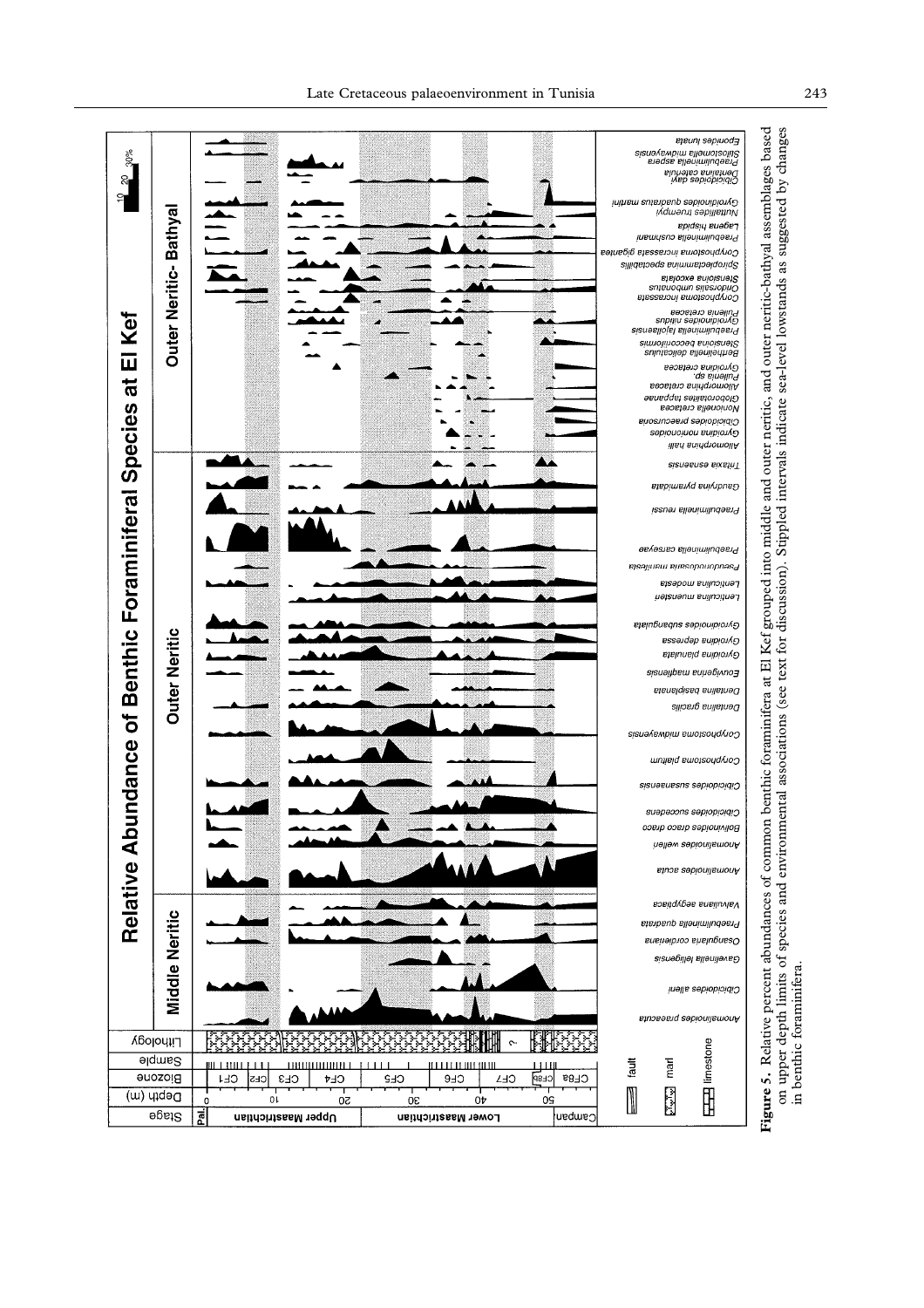<span id="page-12-0"></span>

on upper depth limits of species and environmental associations (see text for discussion). Stippled intervals indicate sea-level lowstands as suggested by changes<br>in benthic foraminifera. **Figure 5.** Relative percent abundances of common benthic foraminifera at El Kef grouped into middle and outer neritic, and outer neritic-bathyal assemblages based on upper depth limits of species and environmental associations (see text for discussion). Stippled intervals indicate sea-level lowstands as suggested by changes in benthic foraminifera.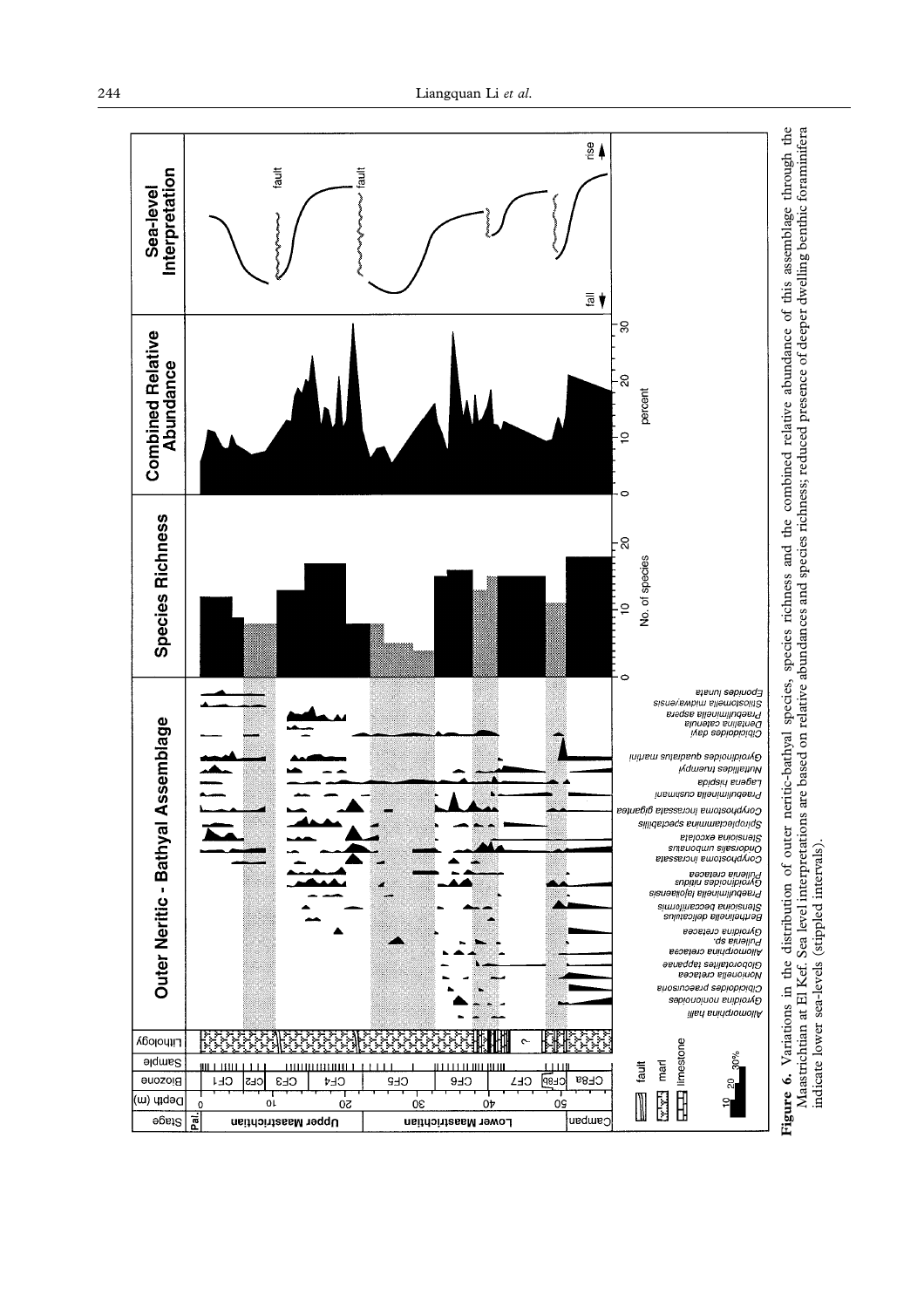<span id="page-13-0"></span>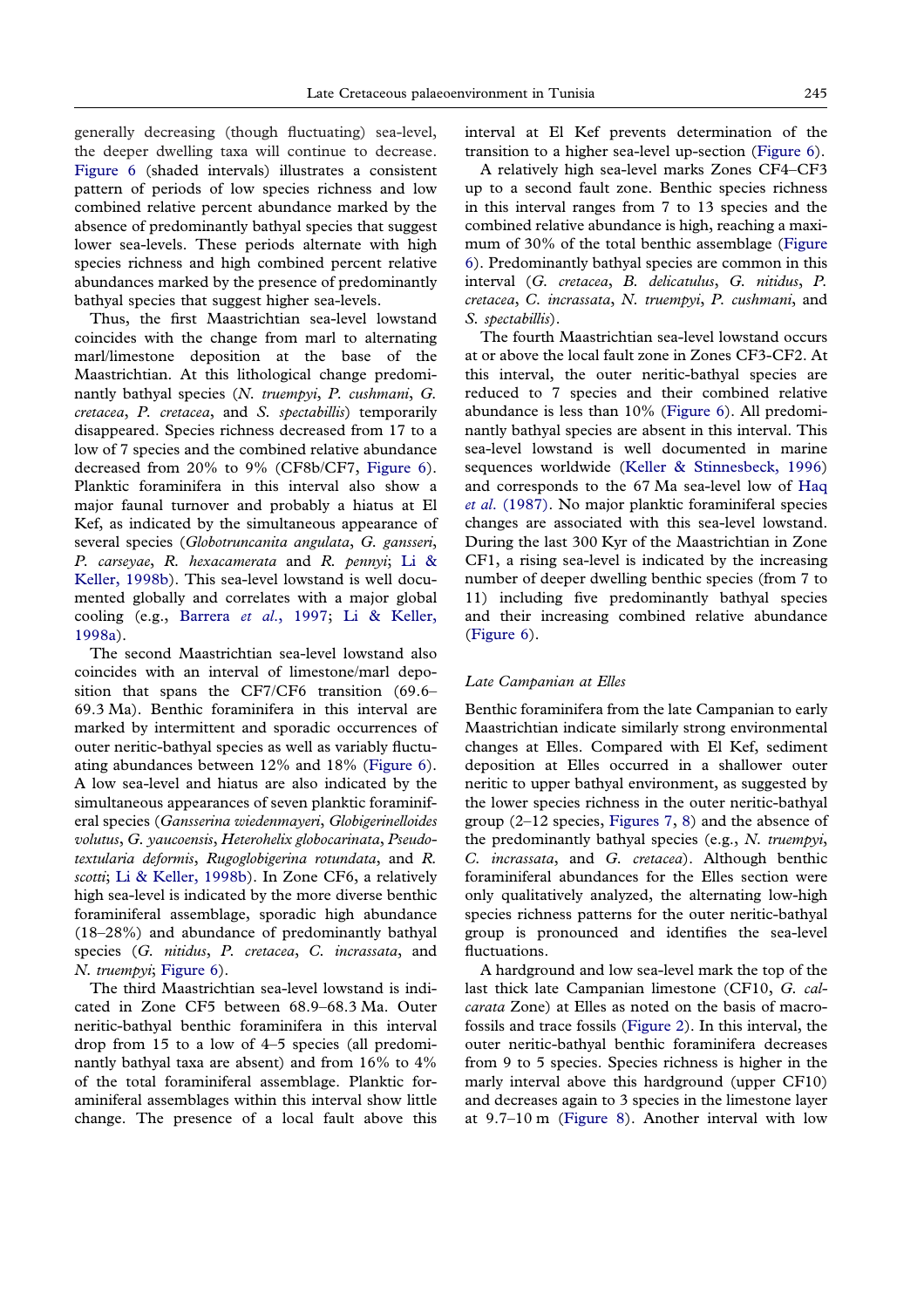generally decreasing (though fluctuating) sea-level, the deeper dwelling taxa will continue to decrease. [Figure 6](#page-13-0) (shaded intervals) illustrates a consistent pattern of periods of low species richness and low combined relative percent abundance marked by the absence of predominantly bathyal species that suggest lower sea-levels. These periods alternate with high species richness and high combined percent relative abundances marked by the presence of predominantly bathyal species that suggest higher sea-levels.

Thus, the first Maastrichtian sea-level lowstand coincides with the change from marl to alternating marl/limestone deposition at the base of the Maastrichtian. At this lithological change predominantly bathyal species (*N. truempyi*, *P. cushmani*, *G. cretacea*, *P. cretacea*, and *S. spectabillis*) temporarily disappeared. Species richness decreased from 17 to a low of 7 species and the combined relative abundance decreased from 20% to 9% (CF8b/CF7, [Figure 6\)](#page-13-0). Planktic foraminifera in this interval also show a major faunal turnover and probably a hiatus at El Kef, as indicated by the simultaneous appearance of several species (*Globotruncanita angulata*, *G. gansseri*, *P. carseyae*, *R. hexacamerata* and *R. pennyi*; [Li &](#page-20-19) [Keller, 1998b\)](#page-20-19). This sea-level lowstand is well documented globally and correlates with a major global cooling (e.g., Barrera *et al*[., 1997;](#page-19-15) [Li & Keller,](#page-20-21) [1998a\)](#page-20-21).

The second Maastrichtian sea-level lowstand also coincides with an interval of limestone/marl deposition that spans the CF7/CF6 transition (69.6– 69.3 Ma). Benthic foraminifera in this interval are marked by intermittent and sporadic occurrences of outer neritic-bathyal species as well as variably fluctuating abundances between 12% and 18% [\(Figure 6\)](#page-13-0). A low sea-level and hiatus are also indicated by the simultaneous appearances of seven planktic foraminiferal species (*Gansserina wiedenmayeri*, *Globigerinelloides volutus*, *G. yaucoensis*, *Heterohelix globocarinata*, *Pseudotextularia deformis*, *Rugoglobigerina rotundata*, and *R. scotti*; [Li & Keller, 1998b\)](#page-20-19). In Zone CF6, a relatively high sea-level is indicated by the more diverse benthic foraminiferal assemblage, sporadic high abundance (18–28%) and abundance of predominantly bathyal species (*G. nitidus*, *P. cretacea*, *C. incrassata*, and *N. truempyi*; [Figure 6\)](#page-13-0).

The third Maastrichtian sea-level lowstand is indicated in Zone CF5 between 68.9–68.3 Ma. Outer neritic-bathyal benthic foraminifera in this interval drop from 15 to a low of 4–5 species (all predominantly bathyal taxa are absent) and from 16% to 4% of the total foraminiferal assemblage. Planktic foraminiferal assemblages within this interval show little change. The presence of a local fault above this

interval at El Kef prevents determination of the transition to a higher sea-level up-section [\(Figure 6\)](#page-13-0).

A relatively high sea-level marks Zones CF4–CF3 up to a second fault zone. Benthic species richness in this interval ranges from 7 to 13 species and the combined relative abundance is high, reaching a maximum of 30% of the total benthic assemblage [\(Figure](#page-13-0) [6\)](#page-13-0). Predominantly bathyal species are common in this interval (*G. cretacea*, *B. delicatulus*, *G. nitidus*, *P. cretacea*, *C. incrassata*, *N. truempyi*, *P. cushmani*, and *S. spectabillis*).

The fourth Maastrichtian sea-level lowstand occurs at or above the local fault zone in Zones CF3-CF2. At this interval, the outer neritic-bathyal species are reduced to 7 species and their combined relative abundance is less than 10% [\(Figure 6\)](#page-13-0). All predominantly bathyal species are absent in this interval. This sea-level lowstand is well documented in marine sequences worldwide [\(Keller & Stinnesbeck, 1996\)](#page-20-33) and corresponds to the 67 Ma sea-level low of [Haq](#page-20-34) *et al*[. \(1987\).](#page-20-34) No major planktic foraminiferal species changes are associated with this sea-level lowstand. During the last 300 Kyr of the Maastrichtian in Zone CF1, a rising sea-level is indicated by the increasing number of deeper dwelling benthic species (from 7 to 11) including five predominantly bathyal species and their increasing combined relative abundance [\(Figure 6\)](#page-13-0).

#### *Late Campanian at Elles*

Benthic foraminifera from the late Campanian to early Maastrichtian indicate similarly strong environmental changes at Elles. Compared with El Kef, sediment deposition at Elles occurred in a shallower outer neritic to upper bathyal environment, as suggested by the lower species richness in the outer neritic-bathyal group (2–12 species, [Figures 7,](#page-15-0) [8\)](#page-16-0) and the absence of the predominantly bathyal species (e.g., *N. truempyi*, *C. incrassata*, and *G. cretacea*). Although benthic foraminiferal abundances for the Elles section were only qualitatively analyzed, the alternating low-high species richness patterns for the outer neritic-bathyal group is pronounced and identifies the sea-level fluctuations.

A hardground and low sea-level mark the top of the last thick late Campanian limestone (CF10, *G. calcarata* Zone) at Elles as noted on the basis of macrofossils and trace fossils [\(Figure 2\)](#page-2-0). In this interval, the outer neritic-bathyal benthic foraminifera decreases from 9 to 5 species. Species richness is higher in the marly interval above this hardground (upper CF10) and decreases again to 3 species in the limestone layer at 9.7–10 m [\(Figure 8\)](#page-16-0). Another interval with low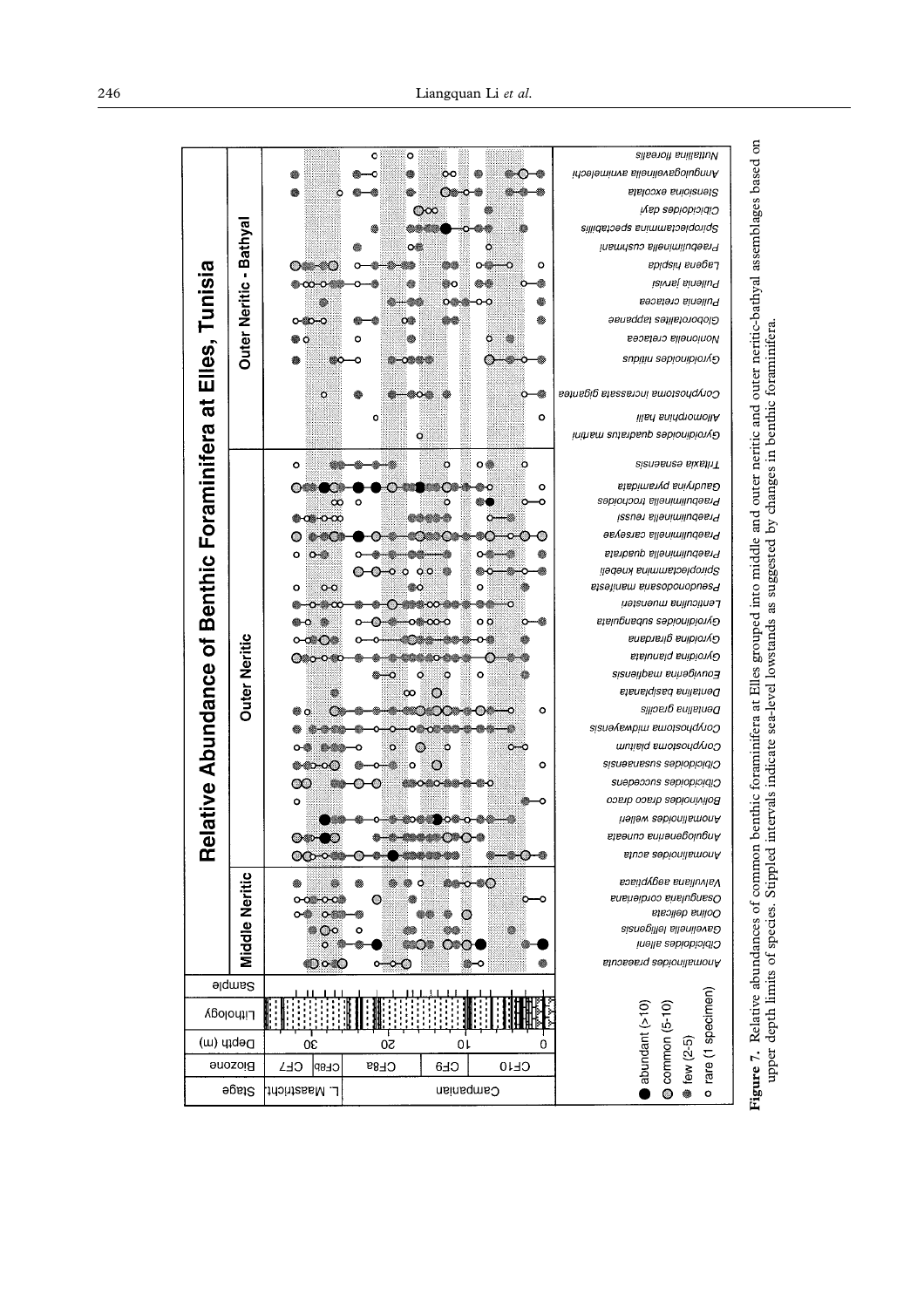<span id="page-15-0"></span>

|                                         |                                |                               | o<br>o                                      |                   | Nuttallina florealis                                   |                                                                                                                   |
|-----------------------------------------|--------------------------------|-------------------------------|---------------------------------------------|-------------------|--------------------------------------------------------|-------------------------------------------------------------------------------------------------------------------|
|                                         |                                |                               | ₩<br>юo                                     | ❀                 | Anngulogaveilia avnimelia                              |                                                                                                                   |
|                                         |                                | ٥                             | ๛๛<br>۱                                     |                   | Stensioina excolata                                    |                                                                                                                   |
|                                         |                                |                               | $\infty$                                    |                   | Cibicidoides dayi                                      |                                                                                                                   |
|                                         |                                |                               |                                             | ۰                 | Sillidsheqa snimmshelqoniq2                            |                                                                                                                   |
|                                         | Bathya                         |                               | o燃                                          | ö                 | Praebuliminella cushmani                               |                                                                                                                   |
|                                         |                                | റയകാ                          |                                             | ۰                 | ppidsių eueb̃e¬                                        |                                                                                                                   |
|                                         | $\blacksquare$                 |                               | ை                                           |                   | Pullenia jarvisi                                       |                                                                                                                   |
|                                         | <b>Outer Neritic</b>           |                               | $\circ$                                     | o o<br>₩          | Pullenia cretacea                                      |                                                                                                                   |
|                                         |                                |                               | œ<br>œœ                                     | ⊜                 | Globorotalites tappanae                                |                                                                                                                   |
|                                         |                                |                               | ٥                                           | ö                 | Nonionella cretacea                                    |                                                                                                                   |
|                                         |                                |                               | ٥<br>๛                                      |                   | Gyroiding sabionibio                                   |                                                                                                                   |
| Elles, Tunisia                          |                                |                               |                                             |                   |                                                        |                                                                                                                   |
|                                         |                                | $\circ$                       |                                             | ۰                 | Coryphostoma incrassata gigantea                       | enthic foraminifera at Elles grouped into middle and outer neritic and outer neritic-bathyal assemblages based on |
| $\vec{p}$                               |                                |                               | o                                           | $\circ$           | <b>illsn</b> sningnomollA                              |                                                                                                                   |
|                                         |                                |                               | Q                                           |                   | Gyroidinoides quacitatus martini                       |                                                                                                                   |
|                                         |                                |                               |                                             |                   |                                                        |                                                                                                                   |
| ative Abundance of Benthic Foraminifera |                                | $\circ$                       | o                                           | ㅇ鮝<br>o           | Tritaxia españa                                        |                                                                                                                   |
|                                         |                                |                               | O                                           | ۰                 | Gaudryina pyramidata                                   |                                                                                                                   |
|                                         |                                | œ                             | ٥<br>$\circ$                                | ۰<br>o            | Praebuliminella trochoides                             |                                                                                                                   |
|                                         |                                | ⊕⊲⊫റ∞                         | e <i>a bila da</i>                          |                   | Praebuliminds reussi<br>Praebuliminella carseyae       |                                                                                                                   |
|                                         |                                |                               | .                                           |                   |                                                        |                                                                                                                   |
|                                         |                                | o<br>$\circ$                  |                                             |                   | Praebuliminella quadrata                               |                                                                                                                   |
|                                         |                                | $\circ$<br>۰                  | o o<br>$\circ$                              | o                 | golooplectamma knebeli<br>eisəjiuew euesopouopnəsa     |                                                                                                                   |
|                                         |                                |                               |                                             |                   | Lenticulina muensten                                   |                                                                                                                   |
|                                         |                                |                               |                                             | оö                | Gyroidinoides subangulata                              |                                                                                                                   |
|                                         |                                |                               |                                             | ο-⊜               | Gyroidina girardana                                    |                                                                                                                   |
|                                         |                                |                               |                                             |                   | Gyroidina planulata                                    |                                                                                                                   |
|                                         | <b>Outer Neritic</b>           |                               | Ö<br>ó                                      | $\circ$           | Eisneitpem sniegivuo                                   |                                                                                                                   |
|                                         |                                |                               | $\infty$<br>$\circ$                         |                   | Dentalina basiplanata                                  |                                                                                                                   |
|                                         |                                | Ő                             | $\sim$                                      | ۰                 | репјави виде                                           |                                                                                                                   |
|                                         |                                |                               | ∾                                           |                   | sisuə/емріш ешоізоца/uoე                               |                                                                                                                   |
|                                         |                                |                               | Ö                                           | $\sim$            | umielq smoteonqvioO                                    |                                                                                                                   |
|                                         |                                |                               | ö<br>c                                      |                   | cibicidoids susanaensis                                |                                                                                                                   |
|                                         |                                |                               | O<br>o                                      | $\circ$           |                                                        |                                                                                                                   |
|                                         |                                | $\infty$                      |                                             | ۵                 | Suepeoons sepiopioidiO                                 |                                                                                                                   |
|                                         |                                | ۰                             |                                             |                   | Bolivinoides draco draco                               |                                                                                                                   |
|                                         |                                |                               | 8068<br>ю≋ю                                 |                   | hellew sebionilsmonA                                   |                                                                                                                   |
| Rei                                     |                                |                               |                                             |                   | Angulogenerina cuneata<br>Anomalinoides acuta          |                                                                                                                   |
|                                         |                                | တေ                            |                                             |                   |                                                        |                                                                                                                   |
|                                         |                                |                               | Ő                                           | ö<br>40           | Valvuliana aegyptiaca                                  |                                                                                                                   |
|                                         |                                | റത                            | ⊙                                           |                   | Osangularia cordieriana<br>Oolina delicata             |                                                                                                                   |
|                                         |                                | Ö.<br>$\infty$                | $\circ$                                     | o                 | Gavelinella Isliepns2                                  |                                                                                                                   |
|                                         |                                | o.                            | ∞⊙                                          |                   | Cibicidoides alleni                                    |                                                                                                                   |
|                                         | <b>Middle Neritic</b>          | ంం                            | $\circ\hspace{-1.7mm}-\hspace{-1.7mm}\circ$ | ۰<br>۰            | Anomalinoides praeacuta                                |                                                                                                                   |
|                                         | <b>Sample</b>                  |                               |                                             |                   |                                                        |                                                                                                                   |
|                                         |                                |                               |                                             |                   |                                                        | Relative abundances of common b                                                                                   |
| Γιμροφλ                                 |                                |                               |                                             |                   | o rare (1 specimen)<br>abundant (>10)<br>Common (5-10) |                                                                                                                   |
| Depth (m)                               |                                | <b>OC</b>                     | 20<br>0١                                    | 0                 |                                                        |                                                                                                                   |
|                                         |                                |                               |                                             |                   | ● few (2-5)                                            | Figure 7.                                                                                                         |
|                                         |                                |                               |                                             |                   |                                                        |                                                                                                                   |
|                                         | <b>Biozone</b><br><b>Stage</b> | CE7<br>CE8P<br>L. Maastricht. | CF8a<br>CE <sub>8</sub>                     | CF10<br>Campanian |                                                        |                                                                                                                   |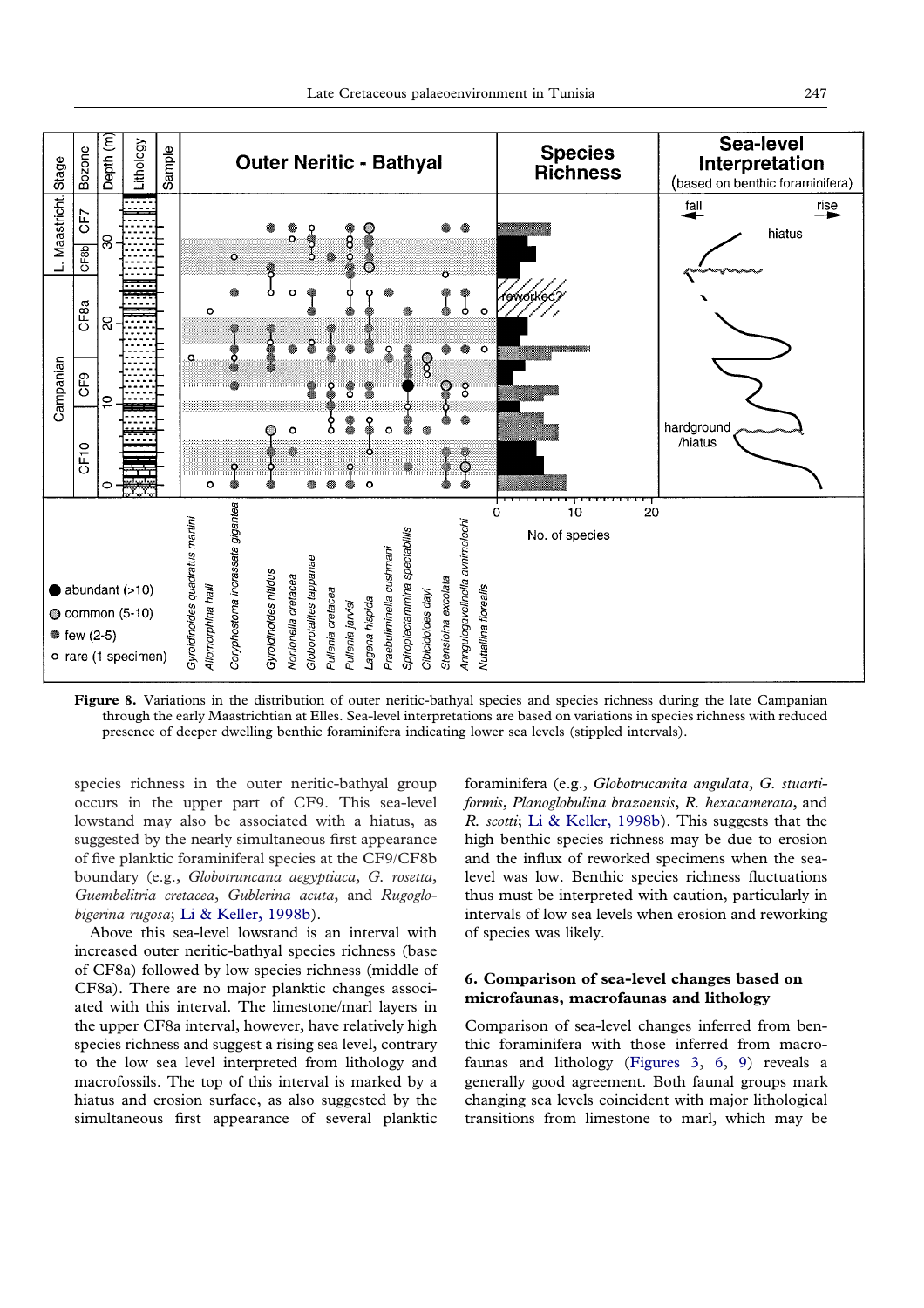<span id="page-16-0"></span>

**Figure 8.** Variations in the distribution of outer neritic-bathyal species and species richness during the late Campanian through the early Maastrichtian at Elles. Sea-level interpretations are based on variations in species richness with reduced presence of deeper dwelling benthic foraminifera indicating lower sea levels (stippled intervals).

species richness in the outer neritic-bathyal group occurs in the upper part of CF9. This sea-level lowstand may also be associated with a hiatus, as suggested by the nearly simultaneous first appearance of five planktic foraminiferal species at the CF9/CF8b boundary (e.g., *Globotruncana aegyptiaca*, *G. rosetta*, *Guembelitria cretacea*, *Gublerina acuta*, and *Rugoglobigerina rugosa*; [Li & Keller, 1998b\)](#page-20-19).

Above this sea-level lowstand is an interval with increased outer neritic-bathyal species richness (base of CF8a) followed by low species richness (middle of CF8a). There are no major planktic changes associated with this interval. The limestone/marl layers in the upper CF8a interval, however, have relatively high species richness and suggest a rising sea level, contrary to the low sea level interpreted from lithology and macrofossils. The top of this interval is marked by a hiatus and erosion surface, as also suggested by the simultaneous first appearance of several planktic

foraminifera (e.g., *Globotrucanita angulata*, *G. stuartiformis*, *Planoglobulina brazoensis*, *R. hexacamerata*, and *R. scotti*; [Li & Keller, 1998b\)](#page-20-19). This suggests that the high benthic species richness may be due to erosion and the influx of reworked specimens when the sealevel was low. Benthic species richness fluctuations thus must be interpreted with caution, particularly in intervals of low sea levels when erosion and reworking of species was likely.

## **6. Comparison of sea-level changes based on microfaunas, macrofaunas and lithology**

Comparison of sea-level changes inferred from benthic foraminifera with those inferred from macrofaunas and lithology [\(Figures 3,](#page-7-0) [6,](#page-13-0) [9\)](#page-18-0) reveals a generally good agreement. Both faunal groups mark changing sea levels coincident with major lithological transitions from limestone to marl, which may be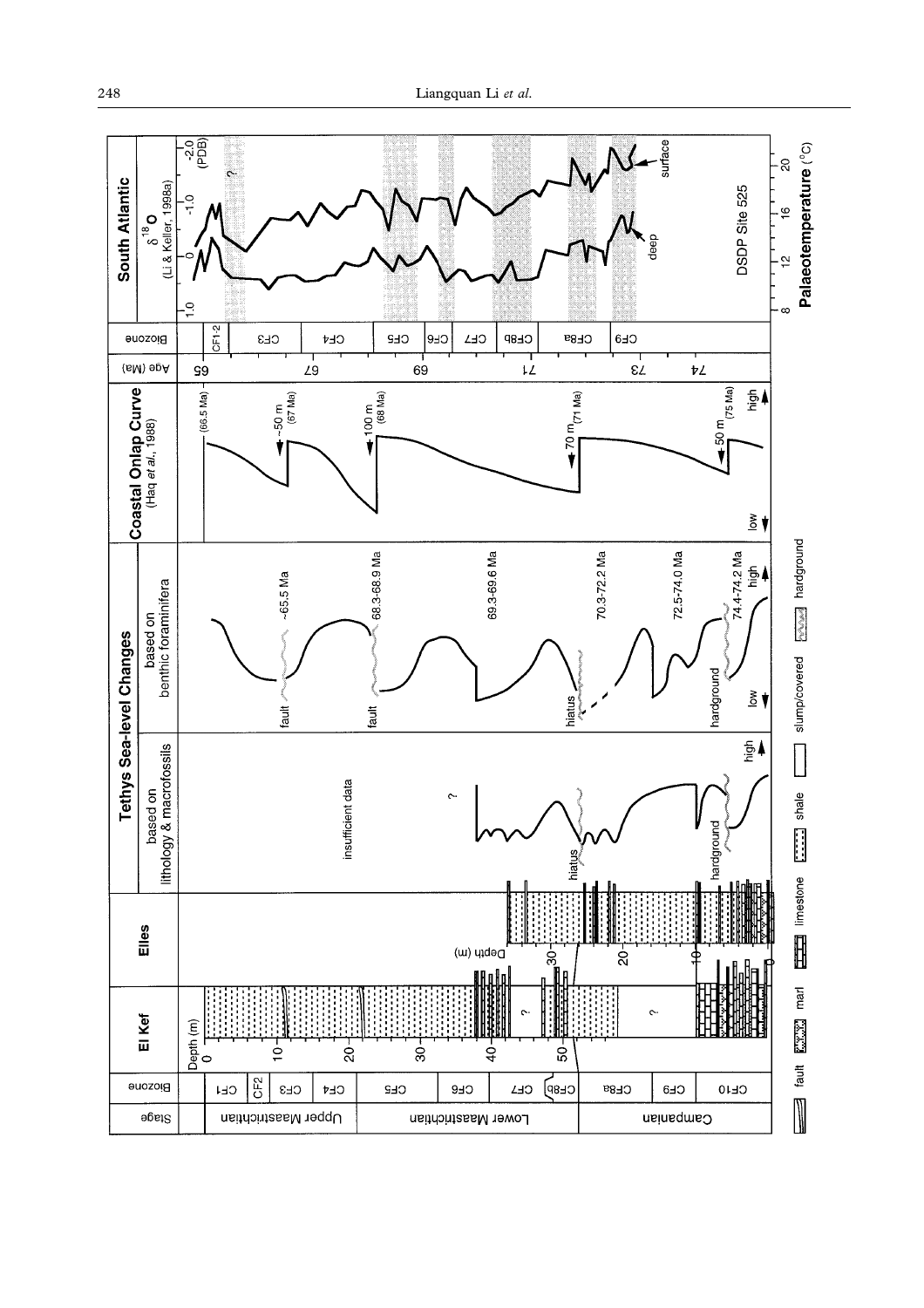

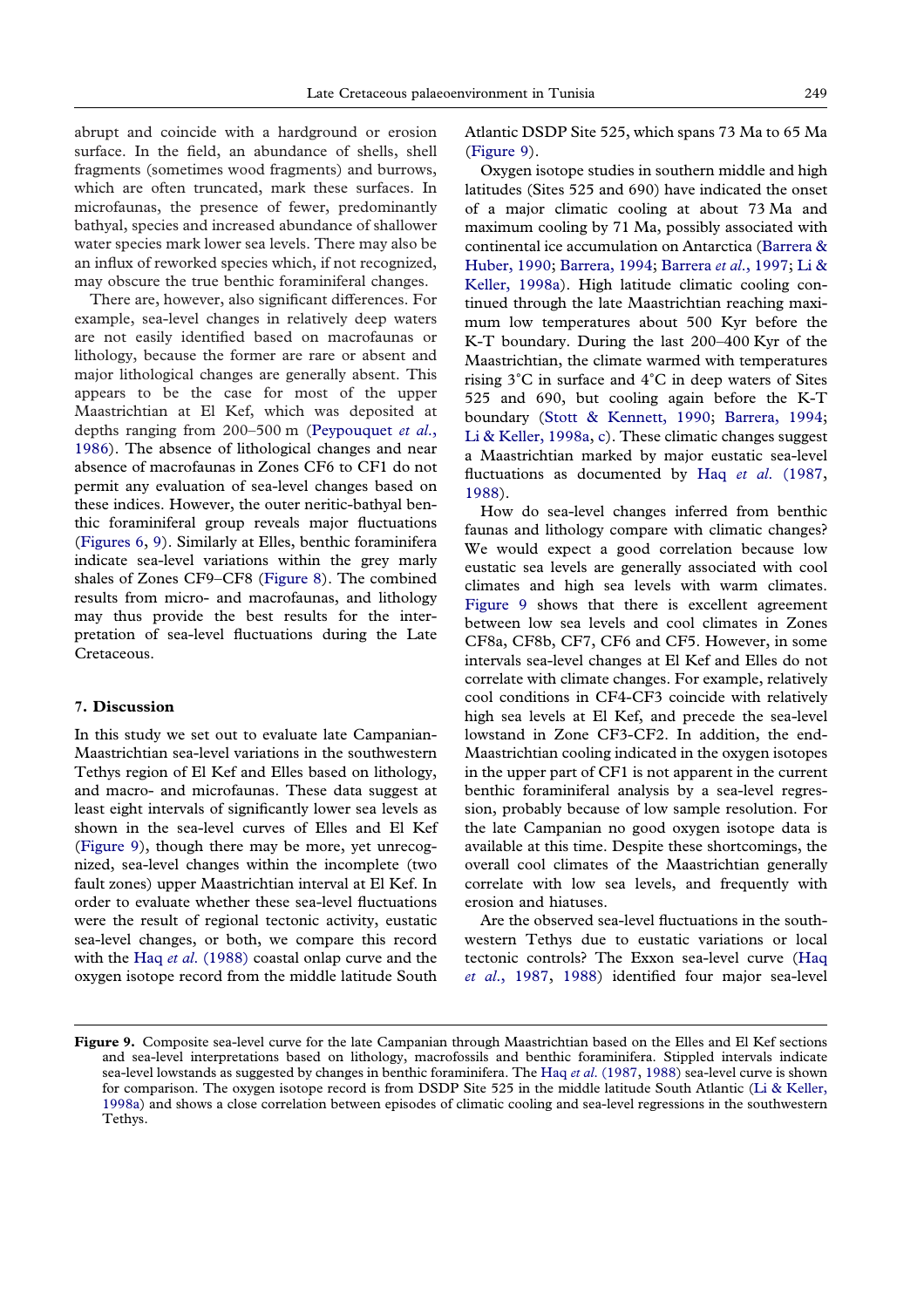<span id="page-18-0"></span>abrupt and coincide with a hardground or erosion surface. In the field, an abundance of shells, shell fragments (sometimes wood fragments) and burrows, which are often truncated, mark these surfaces. In microfaunas, the presence of fewer, predominantly bathyal, species and increased abundance of shallower water species mark lower sea levels. There may also be an influx of reworked species which, if not recognized, may obscure the true benthic foraminiferal changes.

There are, however, also significant differences. For example, sea-level changes in relatively deep waters are not easily identified based on macrofaunas or lithology, because the former are rare or absent and major lithological changes are generally absent. This appears to be the case for most of the upper Maastrichtian at El Kef, which was deposited at depths ranging from 200–500 m [\(Peypouquet](#page-20-18) *et al*., [1986\)](#page-20-18). The absence of lithological changes and near absence of macrofaunas in Zones CF6 to CF1 do not permit any evaluation of sea-level changes based on these indices. However, the outer neritic-bathyal benthic foraminiferal group reveals major fluctuations [\(Figures 6,](#page-13-0) [9\)](#page-18-0). Similarly at Elles, benthic foraminifera indicate sea-level variations within the grey marly shales of Zones CF9–CF8 [\(Figure 8\)](#page-16-0). The combined results from micro- and macrofaunas, and lithology may thus provide the best results for the interpretation of sea-level fluctuations during the Late Cretaceous.

#### **7. Discussion**

In this study we set out to evaluate late Campanian-Maastrichtian sea-level variations in the southwestern Tethys region of El Kef and Elles based on lithology, and macro- and microfaunas. These data suggest at least eight intervals of significantly lower sea levels as shown in the sea-level curves of Elles and El Kef [\(Figure 9\)](#page-18-0), though there may be more, yet unrecognized, sea-level changes within the incomplete (two fault zones) upper Maastrichtian interval at El Kef. In order to evaluate whether these sea-level fluctuations were the result of regional tectonic activity, eustatic sea-level changes, or both, we compare this record with the Haq *et al*[. \(1988\)](#page-20-35) coastal onlap curve and the oxygen isotope record from the middle latitude South

Atlantic DSDP Site 525, which spans 73 Ma to 65 Ma [\(Figure 9\)](#page-18-0).

Oxygen isotope studies in southern middle and high latitudes (Sites 525 and 690) have indicated the onset of a major climatic cooling at about 73 Ma and maximum cooling by 71 Ma, possibly associated with continental ice accumulation on Antarctica [\(Barrera &](#page-19-16) [Huber, 1990;](#page-19-16) [Barrera, 1994;](#page-19-17) [Barrera](#page-19-15) *et al*., 1997; [Li &](#page-20-21) [Keller, 1998a\)](#page-20-21). High latitude climatic cooling continued through the late Maastrichtian reaching maximum low temperatures about 500 Kyr before the K-T boundary. During the last 200–400 Kyr of the Maastrichtian, the climate warmed with temperatures rising  $3^{\circ}$ C in surface and  $4^{\circ}$ C in deep waters of Sites 525 and 690, but cooling again before the K-T boundary [\(Stott & Kennett, 1990;](#page-21-8) [Barrera, 1994;](#page-19-17) [Li & Keller, 1998a,](#page-20-21) [c\)](#page-20-36). These climatic changes suggest a Maastrichtian marked by major eustatic sea-level fluctuations as documented by Haq *et al*[. \(1987,](#page-20-34) [1988\)](#page-20-35).

How do sea-level changes inferred from benthic faunas and lithology compare with climatic changes? We would expect a good correlation because low eustatic sea levels are generally associated with cool climates and high sea levels with warm climates. [Figure 9](#page-18-0) shows that there is excellent agreement between low sea levels and cool climates in Zones CF8a, CF8b, CF7, CF6 and CF5. However, in some intervals sea-level changes at El Kef and Elles do not correlate with climate changes. For example, relatively cool conditions in CF4-CF3 coincide with relatively high sea levels at El Kef, and precede the sea-level lowstand in Zone CF3-CF2. In addition, the end-Maastrichtian cooling indicated in the oxygen isotopes in the upper part of CF1 is not apparent in the current benthic foraminiferal analysis by a sea-level regression, probably because of low sample resolution. For the late Campanian no good oxygen isotope data is available at this time. Despite these shortcomings, the overall cool climates of the Maastrichtian generally correlate with low sea levels, and frequently with erosion and hiatuses.

Are the observed sea-level fluctuations in the southwestern Tethys due to eustatic variations or local tectonic controls? The Exxon sea-level curve [\(Haq](#page-20-34) *et al*[., 1987,](#page-20-34) [1988\)](#page-20-35) identified four major sea-level

**Figure 9.** Composite sea-level curve for the late Campanian through Maastrichtian based on the Elles and El Kef sections and sea-level interpretations based on lithology, macrofossils and benthic foraminifera. Stippled intervals indicate sea-level lowstands as suggested by changes in benthic foraminifera. The Haq *et al*[. \(1987,](#page-20-34) [1988\)](#page-20-35) sea-level curve is shown for comparison. The oxygen isotope record is from DSDP Site 525 in the middle latitude South Atlantic [\(Li & Keller,](#page-20-21) [1998a\)](#page-20-21) and shows a close correlation between episodes of climatic cooling and sea-level regressions in the southwestern Tethys.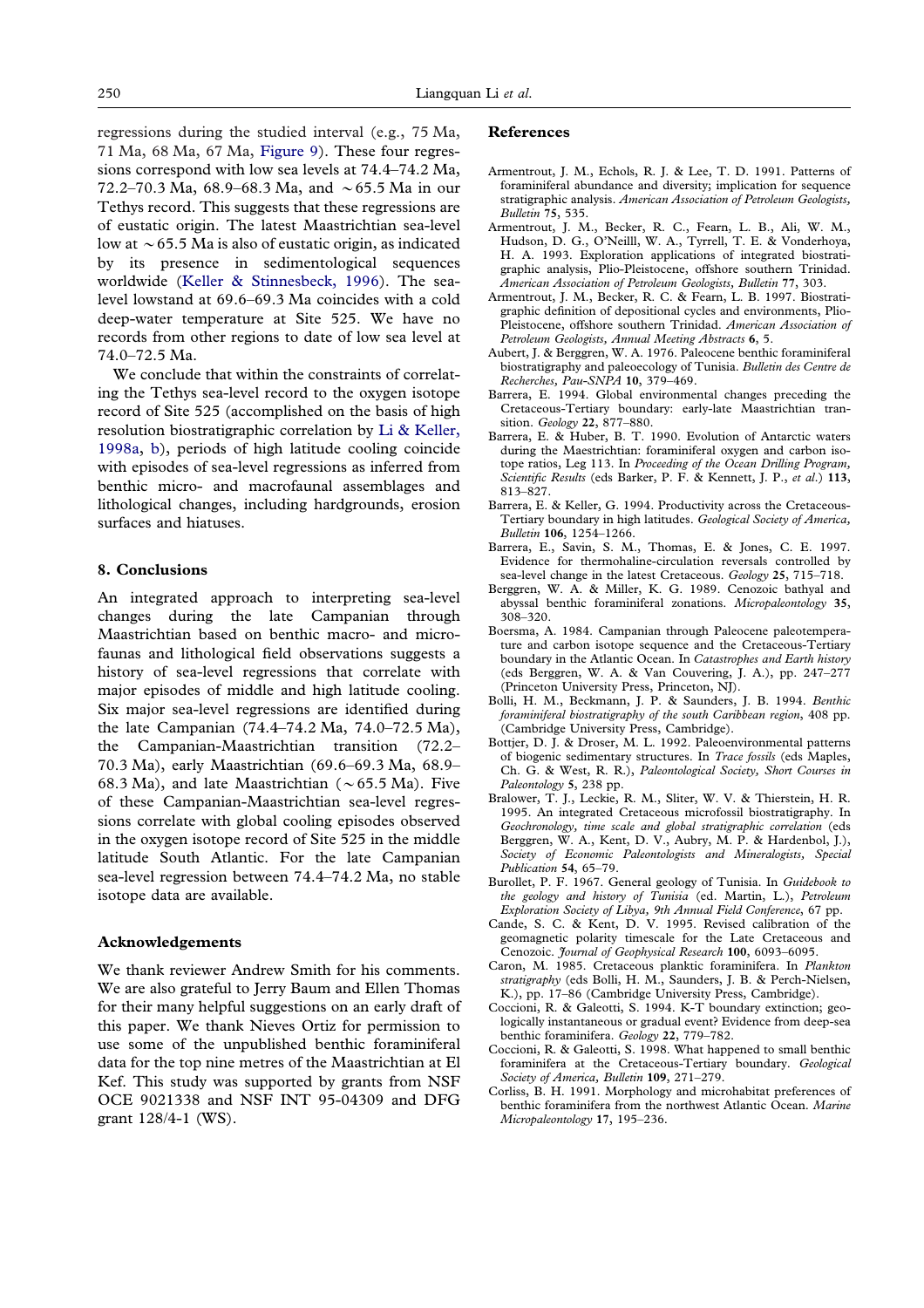regressions during the studied interval (e.g., 75 Ma, 71 Ma, 68 Ma, 67 Ma, [Figure 9\)](#page-18-0). These four regressions correspond with low sea levels at 74.4–74.2 Ma, 72.2–70.3 Ma, 68.9–68.3 Ma, and  $\sim$  65.5 Ma in our Tethys record. This suggests that these regressions are of eustatic origin. The latest Maastrichtian sea-level low at  $\sim$  65.5 Ma is also of eustatic origin, as indicated by its presence in sedimentological sequences worldwide [\(Keller & Stinnesbeck, 1996\)](#page-20-33). The sealevel lowstand at 69.6–69.3 Ma coincides with a cold deep-water temperature at Site 525. We have no records from other regions to date of low sea level at 74.0–72.5 Ma.

We conclude that within the constraints of correlating the Tethys sea-level record to the oxygen isotope record of Site 525 (accomplished on the basis of high resolution biostratigraphic correlation by [Li & Keller,](#page-20-21) [1998a,](#page-20-21) [b\)](#page-20-19), periods of high latitude cooling coincide with episodes of sea-level regressions as inferred from benthic micro- and macrofaunal assemblages and lithological changes, including hardgrounds, erosion surfaces and hiatuses.

#### **8. Conclusions**

An integrated approach to interpreting sea-level changes during the late Campanian through Maastrichtian based on benthic macro- and microfaunas and lithological field observations suggests a history of sea-level regressions that correlate with major episodes of middle and high latitude cooling. Six major sea-level regressions are identified during the late Campanian (74.4–74.2 Ma, 74.0–72.5 Ma), the Campanian-Maastrichtian transition (72.2– 70.3 Ma), early Maastrichtian (69.6–69.3 Ma, 68.9– 68.3 Ma), and late Maastrichtian ( $\sim$  65.5 Ma). Five of these Campanian-Maastrichtian sea-level regressions correlate with global cooling episodes observed in the oxygen isotope record of Site 525 in the middle latitude South Atlantic. For the late Campanian sea-level regression between 74.4–74.2 Ma, no stable isotope data are available.

#### **Acknowledgements**

We thank reviewer Andrew Smith for his comments. We are also grateful to Jerry Baum and Ellen Thomas for their many helpful suggestions on an early draft of this paper. We thank Nieves Ortiz for permission to use some of the unpublished benthic foraminiferal data for the top nine metres of the Maastrichtian at El Kef. This study was supported by grants from NSF OCE 9021338 and NSF INT 95-04309 and DFG grant 128/4-1 (WS).

## **References**

- <span id="page-19-12"></span>Armentrout, J. M., Echols, R. J. & Lee, T. D. 1991. Patterns of foraminiferal abundance and diversity; implication for sequence stratigraphic analysis. *American Association of Petroleum Geologists, Bulletin* **75**, 535.
- <span id="page-19-13"></span>Armentrout, J. M., Becker, R. C., Fearn, L. B., Ali, W. M., Hudson, D. G., O'Neilll, W. A., Tyrrell, T. E. & Vonderhoya, H. A. 1993. Exploration applications of integrated biostratigraphic analysis, Plio-Pleistocene, offshore southern Trinidad. *American Association of Petroleum Geologists, Bulletin* **77**, 303.
- <span id="page-19-14"></span>Armentrout, J. M., Becker, R. C. & Fearn, L. B. 1997. Biostratigraphic definition of depositional cycles and environments, Plio-Pleistocene, offshore southern Trinidad. *American Association of Petroleum Geologists, Annual Meeting Abstracts* **6**, 5.
- <span id="page-19-0"></span>Aubert, J. & Berggren, W. A. 1976. Paleocene benthic foraminiferal biostratigraphy and paleoecology of Tunisia. *Bulletin des Centre de Recherches, Pau-SNPA* **10**, 379–469.
- <span id="page-19-17"></span>Barrera, E. 1994. Global environmental changes preceding the Cretaceous-Tertiary boundary: early-late Maastrichtian transition. *Geology* **22**, 877–880.
- <span id="page-19-16"></span>Barrera, E. & Huber, B. T. 1990. Evolution of Antarctic waters during the Maestrichtian: foraminiferal oxygen and carbon isotope ratios, Leg 113. In *Proceeding of the Ocean Drilling Program, Scientific Results* (eds Barker, P. F. & Kennett, J. P., *et al*.) **113**, 813–827.
- Barrera, E. & Keller, G. 1994. Productivity across the Cretaceous-Tertiary boundary in high latitudes. *Geological Society of America, Bulletin* **106**, 1254–1266.
- <span id="page-19-15"></span>Barrera, E., Savin, S. M., Thomas, E. & Jones, C. E. 1997. Evidence for thermohaline-circulation reversals controlled by sea-level change in the latest Cretaceous. *Geology* **25**, 715–718.
- <span id="page-19-11"></span>Berggren, W. A. & Miller, K. G. 1989. Cenozoic bathyal and abyssal benthic foraminiferal zonations. *Micropaleontology* **35**, 308–320.
- <span id="page-19-9"></span>Boersma, A. 1984. Campanian through Paleocene paleotemperature and carbon isotope sequence and the Cretaceous-Tertiary boundary in the Atlantic Ocean. In *Catastrophes and Earth history* (eds Berggren, W. A. & Van Couvering, J. A.), pp. 247–277 (Princeton University Press, Princeton, NJ).
- <span id="page-19-5"></span>Bolli, H. M., Beckmann, J. P. & Saunders, J. B. 1994. *Benthic foraminiferal biostratigraphy of the south Caribbean region*, 408 pp. (Cambridge University Press, Cambridge).
- <span id="page-19-10"></span>Bottjer, D. J. & Droser, M. L. 1992. Paleoenvironmental patterns of biogenic sedimentary structures. In *Trace fossils* (eds Maples, Ch. G. & West, R. R.), *Paleontological Society, Short Courses in Paleontology* **5**, 238 pp.
- <span id="page-19-8"></span>Bralower, T. J., Leckie, R. M., Sliter, W. V. & Thierstein, H. R. 1995. An integrated Cretaceous microfossil biostratigraphy. In *Geochronology, time scale and global stratigraphic correlation* (eds Berggren, W. A., Kent, D. V., Aubry, M. P. & Hardenbol, J.), *Society of Economic Paleontologists and Mineralogists, Special Publication* **54**, 65–79.
- <span id="page-19-4"></span>Burollet, P. F. 1967. General geology of Tunisia. In *Guidebook to the geology and history of Tunisia* (ed. Martin, L.), *Petroleum Exploration Society of Libya, 9th Annual Field Conference*, 67 pp.
- <span id="page-19-7"></span>Cande, S. C. & Kent, D. V. 1995. Revised calibration of the geomagnetic polarity timescale for the Late Cretaceous and Cenozoic. *Journal of Geophysical Research* **100**, 6093–6095.
- <span id="page-19-6"></span>Caron, M. 1985. Cretaceous planktic foraminifera. In *Plankton stratigraphy* (eds Bolli, H. M., Saunders, J. B. & Perch-Nielsen, K.), pp. 17–86 (Cambridge University Press, Cambridge).
- <span id="page-19-2"></span>Coccioni, R. & Galeotti, S. 1994. K-T boundary extinction; geologically instantaneous or gradual event? Evidence from deep-sea benthic foraminifera. *Geology* **22**, 779–782.
- <span id="page-19-3"></span>Coccioni, R. & Galeotti, S. 1998. What happened to small benthic foraminifera at the Cretaceous-Tertiary boundary. *Geological Society of America, Bulletin* **109**, 271–279.
- <span id="page-19-1"></span>Corliss, B. H. 1991. Morphology and microhabitat preferences of benthic foraminifera from the northwest Atlantic Ocean. *Marine Micropaleontology* **17**, 195–236.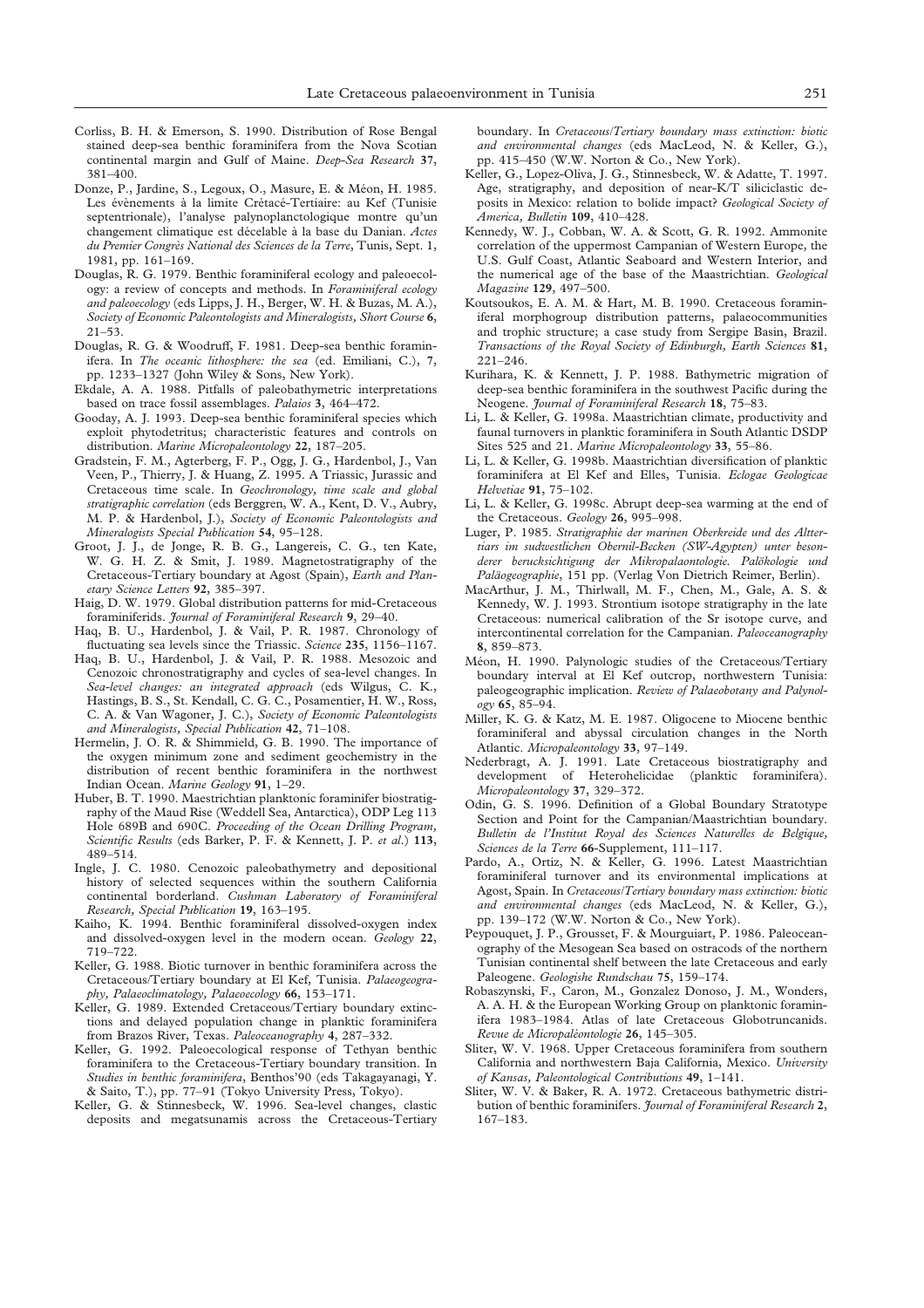- <span id="page-20-6"></span>Corliss, B. H. & Emerson, S. 1990. Distribution of Rose Bengal stained deep-sea benthic foraminifera from the Nova Scotian continental margin and Gulf of Maine. *Deep-Sea Research* **37**, 381–400.
- <span id="page-20-17"></span>Donze, P., Jardine, S., Legoux, O., Masure, E. & Méon, H. 1985. Les évènements à la limite Crétacé-Tertiaire: au Kef (Tunisie septentrionale), l'analyse palynoplanctologique montre qu'un changement climatique est de´celable a` la base du Danian. *Actes du Premier Congre`s National des Sciences de la Terre*, Tunis, Sept. 1, 1981, pp. 161–169.
- <span id="page-20-9"></span>Douglas, R. G. 1979. Benthic foraminiferal ecology and paleoecology: a review of concepts and methods. In *Foraminiferal ecology and paleoecology* (eds Lipps, J. H., Berger, W. H. & Buzas, M. A.), *Society of Economic Paleontologists and Mineralogists, Short Course* **6**, 21–53.
- <span id="page-20-10"></span>Douglas, R. G. & Woodruff, F. 1981. Deep-sea benthic foraminifera. In *The oceanic lithosphere: the sea* (ed. Emiliani, C.), **7**, pp. 1233–1327 (John Wiley & Sons, New York).
- <span id="page-20-31"></span>Ekdale, A. A. 1988. Pitfalls of paleobathymetric interpretations based on trace fossil assemblages. *Palaios* **3**, 464–472.
- <span id="page-20-14"></span>Gooday, A. J. 1993. Deep-sea benthic foraminiferal species which exploit phytodetritus; characteristic features and controls on distribution. *Marine Micropaleontology* **22**, 187–205.
- <span id="page-20-25"></span>Gradstein, F. M., Agterberg, F. P., Ogg, J. G., Hardenbol, J., Van Veen, P., Thierry, J. & Huang, Z. 1995. A Triassic, Jurassic and Cretaceous time scale. In *Geochronology, time scale and global stratigraphic correlation* (eds Berggren, W. A., Kent, D. V., Aubry, M. P. & Hardenbol, J.), *Society of Economic Paleontologists and Mineralogists Special Publication* **54**, 95–128.
- <span id="page-20-23"></span>Groot, J. J., de Jonge, R. B. G., Langereis, C. G., ten Kate, W. G. H. Z. & Smit, J. 1989. Magnetostratigraphy of the Cretaceous-Tertiary boundary at Agost (Spain), *Earth and Planetary Science Letters* **92**, 385–397.
- <span id="page-20-1"></span>Haig, D. W. 1979. Global distribution patterns for mid-Cretaceous foraminiferids. *Journal of Foraminiferal Research* **9**, 29–40.
- <span id="page-20-34"></span>Haq, B. U., Hardenbol, J. & Vail, P. R. 1987. Chronology of fluctuating sea levels since the Triassic. *Science* **235**, 1156–1167.
- <span id="page-20-35"></span>Haq, B. U., Hardenbol, J. & Vail, P. R. 1988. Mesozoic and Cenozoic chronostratigraphy and cycles of sea-level changes. In *Sea-level changes: an integrated approach* (eds Wilgus, C. K., Hastings, B. S., St. Kendall, C. G. C., Posamentier, H. W., Ross, C. A. & Van Wagoner, J. C.), *Society of Economic Paleontologists and Mineralogists, Special Publication* **42**, 71–108.
- <span id="page-20-13"></span>Hermelin, J. O. R. & Shimmield, G. B. 1990. The importance of the oxygen minimum zone and sediment geochemistry in the distribution of recent benthic foraminifera in the northwest Indian Ocean. *Marine Geology* **91**, 1–29.
- <span id="page-20-30"></span>Huber, B. T. 1990. Maestrichtian planktonic foraminifer biostratigraphy of the Maud Rise (Weddell Sea, Antarctica), ODP Leg 113 Hole 689B and 690C. *Proceeding of the Ocean Drilling Program, Scientific Results* (eds Barker, P. F. & Kennett, J. P. *et al*.) **113**, 489–514.
- <span id="page-20-2"></span>Ingle, J. C. 1980. Cenozoic paleobathymetry and depositional history of selected sequences within the southern California continental borderland. *Cushman Laboratory of Foraminiferal Research, Special Publication* **19**, 163–195.
- <span id="page-20-7"></span>Kaiho, K. 1994. Benthic foraminiferal dissolved-oxygen index and dissolved-oxygen level in the modern ocean. *Geology* **22**, 719–722.
- <span id="page-20-3"></span>Keller, G. 1988. Biotic turnover in benthic foraminifera across the Cretaceous/Tertiary boundary at El Kef, Tunisia. *Palaeogeography, Palaeoclimatology, Palaeoecology* **66**, 153–171.
- <span id="page-20-29"></span>Keller, G. 1989. Extended Cretaceous/Tertiary boundary extinctions and delayed population change in planktic foraminifera from Brazos River, Texas. *Paleoceanography* **4**, 287–332.
- <span id="page-20-4"></span>Keller, G. 1992. Paleoecological response of Tethyan benthic foraminifera to the Cretaceous-Tertiary boundary transition. In *Studies in benthic foraminifera*, Benthos'90 (eds Takagayanagi, Y. & Saito, T.), pp. 77–91 (Tokyo University Press, Tokyo).
- <span id="page-20-33"></span>Keller, G. & Stinnesbeck, W. 1996. Sea-level changes, clastic deposits and megatsunamis across the Cretaceous-Tertiary

boundary. In *Cretaceous/Tertiary boundary mass extinction: biotic and environmental changes* (eds MacLeod, N. & Keller, G.), pp. 415–450 (W.W. Norton & Co., New York).

- <span id="page-20-32"></span>Keller, G., Lopez-Oliva, J. G., Stinnesbeck, W. & Adatte, T. 1997. Age, stratigraphy, and deposition of near-K/T siliciclastic deposits in Mexico: relation to bolide impact? *Geological Society of America, Bulletin* **109**, 410–428.
- <span id="page-20-26"></span>Kennedy, W. J., Cobban, W. A. & Scott, G. R. 1992. Ammonite correlation of the uppermost Campanian of Western Europe, the U.S. Gulf Coast, Atlantic Seaboard and Western Interior, and the numerical age of the base of the Maastrichtian. *Geological Magazine* **129**, 497–500.
- <span id="page-20-5"></span>Koutsoukos, E. A. M. & Hart, M. B. 1990. Cretaceous foraminiferal morphogroup distribution patterns, palaeocommunities and trophic structure; a case study from Sergipe Basin, Brazil. *Transactions of the Royal Society of Edinburgh, Earth Sciences* **81**, 221–246.
- <span id="page-20-12"></span>Kurihara, K. & Kennett, J. P. 1988. Bathymetric migration of deep-sea benthic foraminifera in the southwest Pacific during the Neogene. *Journal of Foraminiferal Research* **18**, 75–83.
- <span id="page-20-21"></span>Li, L. & Keller, G. 1998a. Maastrichtian climate, productivity and faunal turnovers in planktic foraminifera in South Atlantic DSDP Sites 525 and 21. *Marine Micropaleontology* **33**, 55–86.
- <span id="page-20-19"></span>Li, L. & Keller, G. 1998b. Maastrichtian diversification of planktic foraminifera at El Kef and Elles, Tunisia. *Eclogae Geologicae Helvetiae* **91**, 75–102.
- <span id="page-20-36"></span>Li, L. & Keller, G. 1998c. Abrupt deep-sea warming at the end of the Cretaceous. *Geology* **26**, 995–998.
- <span id="page-20-15"></span>Luger, P. 1985. *Stratigraphie der marinen Oberkreide und des Alttertiars im sudwestlichen Obernil-Becken (SW-Agypten) unter besonderer berucksichtigung der Mikropalaontologie. Palo¨kologie und Pala¨ogeographie*, 151 pp. (Verlag Von Dietrich Reimer, Berlin).
- <span id="page-20-27"></span>MacArthur, J. M., Thirlwall, M. F., Chen, M., Gale, A. S. & Kennedy, W. J. 1993. Strontium isotope stratigraphy in the late Cretaceous: numerical calibration of the Sr isotope curve, and intercontinental correlation for the Campanian. *Paleoceanography* **8**, 859–873.
- <span id="page-20-16"></span>Méon, H. 1990. Palynologic studies of the Cretaceous/Tertiary boundary interval at El Kef outcrop, northwestern Tunisia: paleogeographic implication. *Review of Palaeobotany and Palynology* **65**, 85–94.
- <span id="page-20-11"></span>Miller, K. G. & Katz, M. E. 1987. Oligocene to Miocene benthic foraminiferal and abyssal circulation changes in the North Atlantic. *Micropaleontology* **33**, 97–149.
- <span id="page-20-22"></span>Nederbragt, A. J. 1991. Late Cretaceous biostratigraphy and development of Heterohelicidae (planktic foraminifera). *Micropaleontology* **37**, 329–372.
- <span id="page-20-24"></span>Odin, G. S. 1996. Definition of a Global Boundary Stratotype Section and Point for the Campanian/Maastrichtian boundary. *Bulletin de l'Institut Royal des Sciences Naturelles de Belgique, Sciences de la Terre* **66**-Supplement, 111–117.
- <span id="page-20-8"></span>Pardo, A., Ortiz, N. & Keller, G. 1996. Latest Maastrichtian foraminiferal turnover and its environmental implications at Agost, Spain. In *Cretaceous/Tertiary boundary mass extinction: biotic and environmental changes* (eds MacLeod, N. & Keller, G.), pp. 139–172 (W.W. Norton & Co., New York).
- <span id="page-20-18"></span>Peypouquet, J. P., Grousset, F. & Mourguiart, P. 1986. Paleoceanography of the Mesogean Sea based on ostracods of the northern Tunisian continental shelf between the late Cretaceous and early Paleogene. *Geologishe Rundschau* **75**, 159–174.
- <span id="page-20-28"></span>Robaszynski, F., Caron, M., Gonzalez Donoso, J. M., Wonders, A. A. H. & the European Working Group on planktonic foraminifera 1983–1984. Atlas of late Cretaceous Globotruncanids. *Revue de Micropale´ontologie* **26**, 145–305.
- <span id="page-20-20"></span>Sliter, W. V. 1968. Upper Cretaceous foraminifera from southern California and northwestern Baja California, Mexico. *University of Kansas, Paleontological Contributions* **49**, 1–141.
- <span id="page-20-0"></span>Sliter, W. V. & Baker, R. A. 1972. Cretaceous bathymetric distribution of benthic foraminifers. *Journal of Foraminiferal Research* **2**, 167–183.